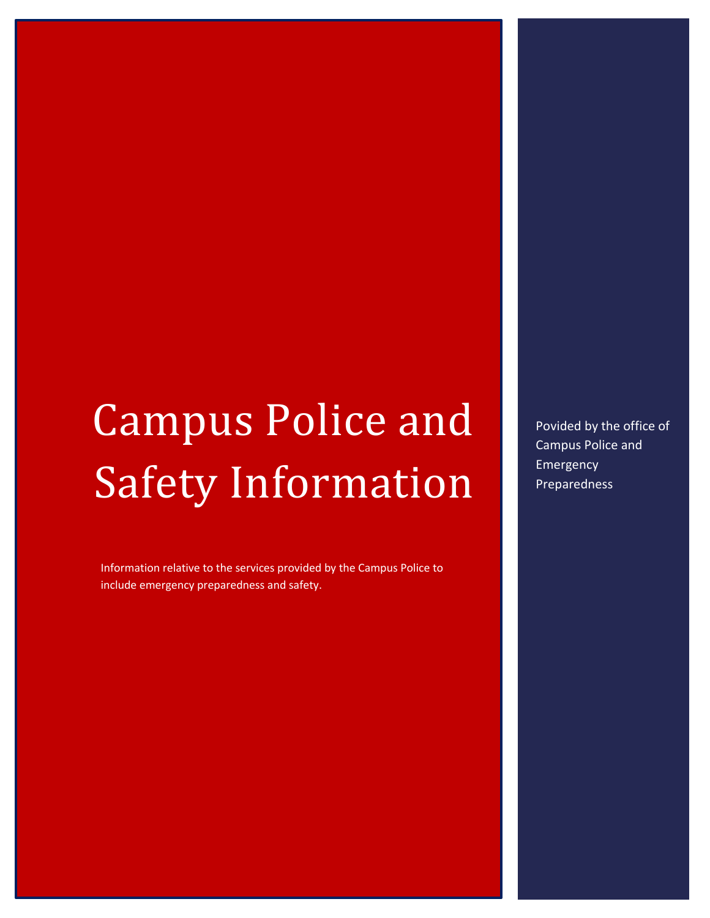# Campus Police and Safety Information

Information relative to the services provided by the Campus Police to include emergency preparedness and safety.

Povided by the office of Campus Police and Emergency Preparedness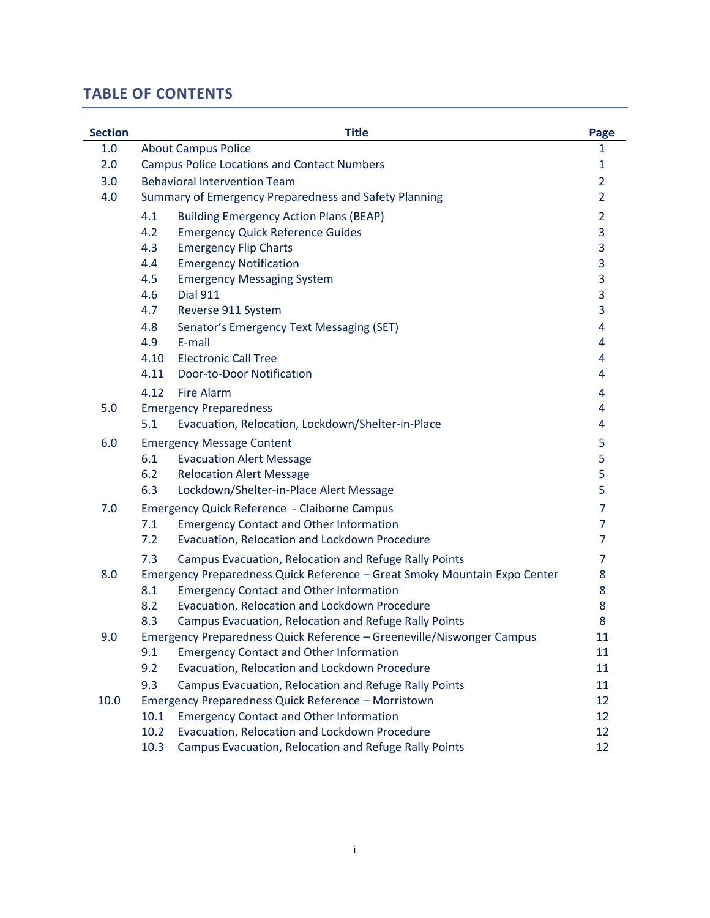# **TABLE OF CONTENTS**

| <b>Section</b> |                                      | <b>Title</b>                                                              | Page           |
|----------------|--------------------------------------|---------------------------------------------------------------------------|----------------|
| 1.0            | <b>About Campus Police</b>           |                                                                           | 1              |
| 2.0            |                                      | <b>Campus Police Locations and Contact Numbers</b>                        | $\mathbf{1}$   |
| 3.0            | <b>Behavioral Intervention Team</b>  |                                                                           | 2              |
| 4.0            |                                      | Summary of Emergency Preparedness and Safety Planning                     | 2              |
|                | 4.1                                  | <b>Building Emergency Action Plans (BEAP)</b>                             | $\overline{2}$ |
|                | 4.2                                  | <b>Emergency Quick Reference Guides</b>                                   | 3              |
|                | <b>Emergency Flip Charts</b><br>4.3  |                                                                           | 3              |
|                | <b>Emergency Notification</b><br>4.4 |                                                                           | 3              |
|                | 4.5                                  | <b>Emergency Messaging System</b>                                         | 3              |
|                | 4.6<br><b>Dial 911</b>               |                                                                           | 3              |
|                | 4.7<br>Reverse 911 System            |                                                                           | 3              |
|                | 4.8                                  | Senator's Emergency Text Messaging (SET)                                  | 4              |
|                | E-mail<br>4.9                        |                                                                           | 4              |
|                | <b>Electronic Call Tree</b><br>4.10  |                                                                           | 4              |
|                | 4.11                                 | <b>Door-to-Door Notification</b>                                          | 4              |
|                | 4.12<br><b>Fire Alarm</b>            |                                                                           | 4              |
| 5.0            | <b>Emergency Preparedness</b>        |                                                                           | 4              |
|                | 5.1                                  | Evacuation, Relocation, Lockdown/Shelter-in-Place                         | 4              |
| 6.0            | <b>Emergency Message Content</b>     |                                                                           | 5              |
|                | 6.1                                  | <b>Evacuation Alert Message</b>                                           | 5              |
|                | 6.2                                  | <b>Relocation Alert Message</b>                                           | 5              |
|                | 6.3                                  | Lockdown/Shelter-in-Place Alert Message                                   | 5              |
| 7.0            |                                      | <b>Emergency Quick Reference - Claiborne Campus</b>                       | $\overline{7}$ |
|                | 7.1                                  | <b>Emergency Contact and Other Information</b>                            | $\overline{7}$ |
|                | 7.2                                  | Evacuation, Relocation and Lockdown Procedure                             | 7              |
|                | 7.3                                  | Campus Evacuation, Relocation and Refuge Rally Points                     | 7              |
| 8.0            |                                      | Emergency Preparedness Quick Reference - Great Smoky Mountain Expo Center | 8              |
|                | 8.1                                  | <b>Emergency Contact and Other Information</b>                            | 8              |
|                | 8.2                                  | Evacuation, Relocation and Lockdown Procedure                             | 8              |
|                | 8.3                                  | Campus Evacuation, Relocation and Refuge Rally Points                     | 8              |
| 9.0            |                                      | Emergency Preparedness Quick Reference - Greeneville/Niswonger Campus     | 11             |
|                | 9.1                                  | <b>Emergency Contact and Other Information</b>                            | 11             |
|                | 9.2                                  | Evacuation, Relocation and Lockdown Procedure                             | 11             |
|                | 9.3                                  | Campus Evacuation, Relocation and Refuge Rally Points                     | 11             |
| 10.0           |                                      | Emergency Preparedness Quick Reference - Morristown                       | 12             |
|                | 10.1                                 | <b>Emergency Contact and Other Information</b>                            | 12             |
|                | 10.2                                 | Evacuation, Relocation and Lockdown Procedure                             | 12             |
|                | 10.3                                 | Campus Evacuation, Relocation and Refuge Rally Points                     | 12             |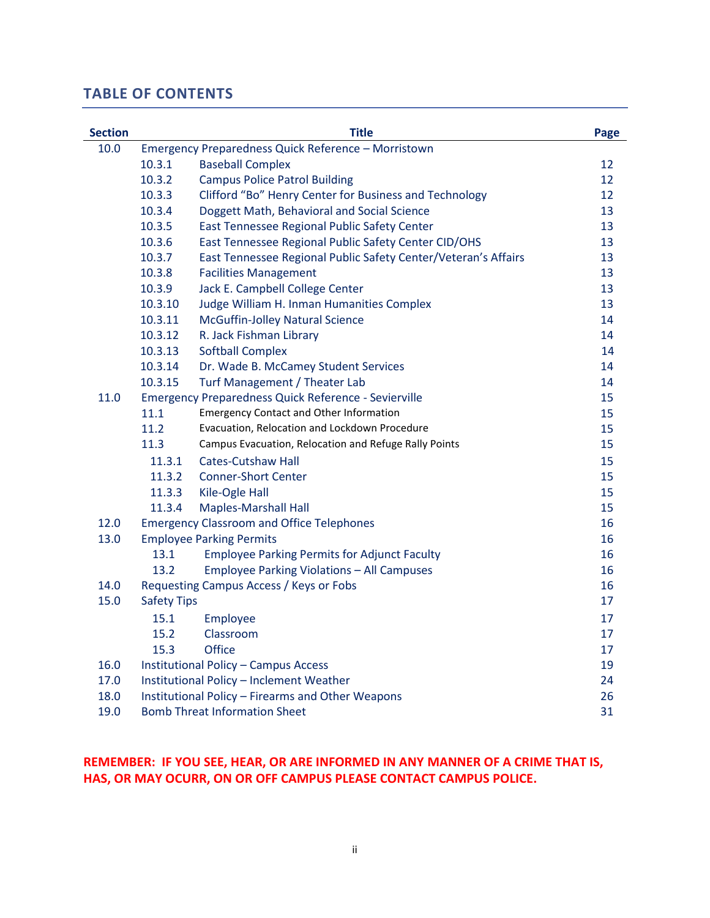# **TABLE OF CONTENTS**

| <b>Section</b> |                                            | <b>Title</b>                                                   | Page |
|----------------|--------------------------------------------|----------------------------------------------------------------|------|
| 10.0           |                                            | Emergency Preparedness Quick Reference - Morristown            |      |
|                | 10.3.1                                     | <b>Baseball Complex</b>                                        | 12   |
|                | 10.3.2                                     | <b>Campus Police Patrol Building</b>                           | 12   |
|                | 10.3.3                                     | Clifford "Bo" Henry Center for Business and Technology         | 12   |
|                | 10.3.4                                     | Doggett Math, Behavioral and Social Science                    | 13   |
|                | 10.3.5                                     | East Tennessee Regional Public Safety Center                   | 13   |
|                | 10.3.6                                     | East Tennessee Regional Public Safety Center CID/OHS           | 13   |
|                | 10.3.7                                     | East Tennessee Regional Public Safety Center/Veteran's Affairs | 13   |
|                | 10.3.8                                     | <b>Facilities Management</b>                                   | 13   |
|                | 10.3.9                                     | Jack E. Campbell College Center                                | 13   |
|                | 10.3.10                                    | Judge William H. Inman Humanities Complex                      | 13   |
|                | 10.3.11                                    | McGuffin-Jolley Natural Science                                | 14   |
|                | 10.3.12                                    | R. Jack Fishman Library                                        | 14   |
|                | 10.3.13                                    | <b>Softball Complex</b>                                        | 14   |
|                | 10.3.14                                    | Dr. Wade B. McCamey Student Services                           | 14   |
|                | 10.3.15                                    | Turf Management / Theater Lab                                  | 14   |
| 11.0           |                                            | <b>Emergency Preparedness Quick Reference - Sevierville</b>    | 15   |
|                | 11.1                                       | <b>Emergency Contact and Other Information</b>                 | 15   |
|                | 11.2                                       | Evacuation, Relocation and Lockdown Procedure                  | 15   |
|                | 11.3                                       | Campus Evacuation, Relocation and Refuge Rally Points          | 15   |
|                | 11.3.1                                     | <b>Cates-Cutshaw Hall</b>                                      | 15   |
|                | 11.3.2                                     | <b>Conner-Short Center</b>                                     | 15   |
|                | 11.3.3                                     | Kile-Ogle Hall                                                 | 15   |
|                | 11.3.4                                     | <b>Maples-Marshall Hall</b>                                    | 15   |
| 12.0           |                                            | <b>Emergency Classroom and Office Telephones</b>               | 16   |
| 13.0           |                                            | <b>Employee Parking Permits</b>                                | 16   |
|                | 13.1                                       | <b>Employee Parking Permits for Adjunct Faculty</b>            | 16   |
|                | 13.2                                       | <b>Employee Parking Violations - All Campuses</b>              | 16   |
| 14.0           |                                            | Requesting Campus Access / Keys or Fobs                        | 16   |
| 15.0           | <b>Safety Tips</b>                         |                                                                | 17   |
|                | 15.1                                       | Employee                                                       | 17   |
|                | 15.2                                       | Classroom                                                      | 17   |
|                | 15.3                                       | <b>Office</b>                                                  | 17   |
| 16.0           |                                            | <b>Institutional Policy - Campus Access</b>                    | 19   |
| 17.0           |                                            | Institutional Policy - Inclement Weather                       | 24   |
| 18.0           |                                            | Institutional Policy - Firearms and Other Weapons              | 26   |
| 19.0           | <b>Bomb Threat Information Sheet</b><br>31 |                                                                |      |

# **REMEMBER: IF YOU SEE, HEAR, OR ARE INFORMED IN ANY MANNER OF A CRIME THAT IS, HAS, OR MAY OCURR, ON OR OFF CAMPUS PLEASE CONTACT CAMPUS POLICE.**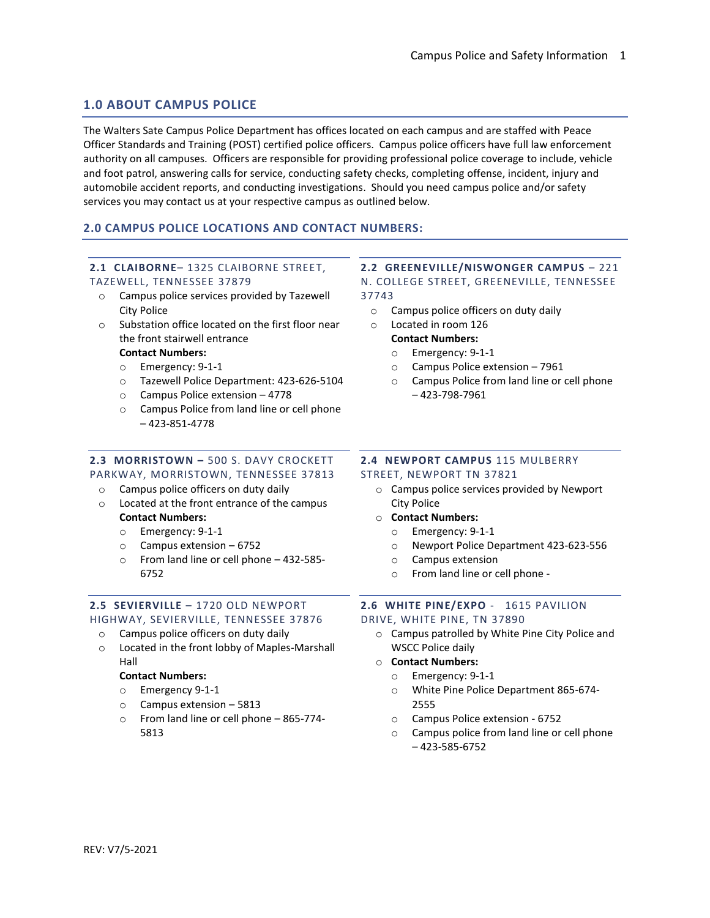## **1.0 ABOUT CAMPUS POLICE**

The Walters Sate Campus Police Department has offices located on each campus and are staffed with Peace Officer Standards and Training (POST) certified police officers. Campus police officers have full law enforcement authority on all campuses. Officers are responsible for providing professional police coverage to include, vehicle and foot patrol, answering calls for service, conducting safety checks, completing offense, incident, injury and automobile accident reports, and conducting investigations. Should you need campus police and/or safety services you may contact us at your respective campus as outlined below.

## **2.0 CAMPUS POLICE LOCATIONS AND CONTACT NUMBERS:**

# **2.1 CLAIBORNE**– 1325 CLAIBORNE STREET,

- TAZEWELL, TENNESSEE 37879
	- o Campus police services provided by Tazewell City Police
	- o Substation office located on the first floor near the front stairwell entrance

## **Contact Numbers:**

- o Emergency: 9-1-1
- o Tazewell Police Department: 423-626-5104
- o Campus Police extension 4778
- o Campus Police from land line or cell phone – 423-851-4778

## **2.3 MORRISTOWN –** 500 S. DAVY CROCKETT

#### PARKWAY, MORRISTOWN, TENNESSEE 37813

- o Campus police officers on duty daily
- o Located at the front entrance of the campus **Contact Numbers:** 
	- o Emergency: 9-1-1
	- o Campus extension 6752
	- o From land line or cell phone 432-585- 6752

#### **2.5 SEVIERVILLE** – 1720 OLD NEWPORT HIGHWAY, SEVIERVILLE, TENNESSEE 37876

- o Campus police officers on duty daily
- o Located in the front lobby of Maples-Marshall Hall

#### **Contact Numbers:**

- o Emergency 9-1-1
- o Campus extension 5813
- o From land line or cell phone 865-774- 5813

# **2.2 GREENEVILLE/NISWONGER CAMPUS** – 221

N. COLLEGE STREET, GREENEVILLE, TENNESSEE 37743

- o Campus police officers on duty daily
- o Located in room 126 **Contact Numbers:**
	- o Emergency: 9-1-1
	- o Campus Police extension 7961
	- o Campus Police from land line or cell phone – 423-798-7961

## **2.4 NEWPORT CAMPUS** 115 MULBERRY STREET, NEWPORT TN 37821

- o Campus police services provided by Newport City Police
- o **Contact Numbers:**
	- o Emergency: 9-1-1
	- o Newport Police Department 423-623-556
	- o Campus extension
	- o From land line or cell phone -

# **2.6 WHITE PINE/EXPO** - 1615 PAVILION

## DRIVE, WHITE PINE, TN 37890

o Campus patrolled by White Pine City Police and WSCC Police daily

#### o **Contact Numbers:**

- o Emergency: 9-1-1
- o White Pine Police Department 865-674- 2555
- o Campus Police extension 6752
- o Campus police from land line or cell phone – 423-585-6752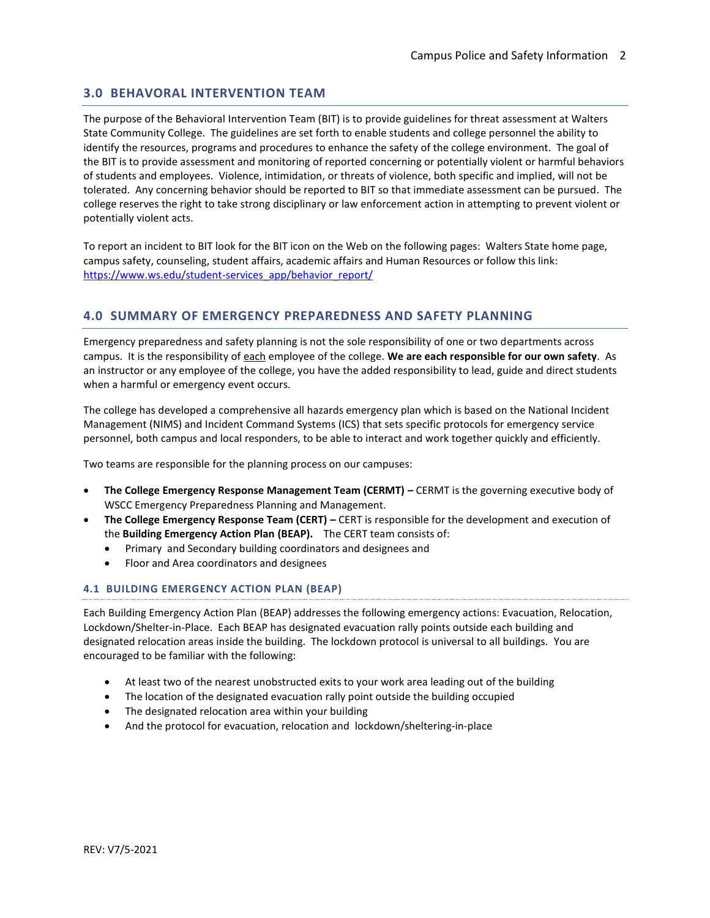## **3.0 BEHAVORAL INTERVENTION TEAM**

The purpose of the Behavioral Intervention Team (BIT) is to provide guidelines for threat assessment at Walters State Community College. The guidelines are set forth to enable students and college personnel the ability to identify the resources, programs and procedures to enhance the safety of the college environment. The goal of the BIT is to provide assessment and monitoring of reported concerning or potentially violent or harmful behaviors of students and employees. Violence, intimidation, or threats of violence, both specific and implied, will not be tolerated. Any concerning behavior should be reported to BIT so that immediate assessment can be pursued. The college reserves the right to take strong disciplinary or law enforcement action in attempting to prevent violent or potentially violent acts.

To report an incident to BIT look for the BIT icon on the Web on the following pages: Walters State home page, campus safety, counseling, student affairs, academic affairs and Human Resources or follow this link: [https://www.ws.edu/student-services\\_app/behavior\\_report/](https://www.ws.edu/student-services_app/behavior_report/)

## **4.0 SUMMARY OF EMERGENCY PREPAREDNESS AND SAFETY PLANNING**

Emergency preparedness and safety planning is not the sole responsibility of one or two departments across campus. It is the responsibility of each employee of the college. **We are each responsible for our own safety**. As an instructor or any employee of the college, you have the added responsibility to lead, guide and direct students when a harmful or emergency event occurs.

The college has developed a comprehensive all hazards emergency plan which is based on the National Incident Management (NIMS) and Incident Command Systems (ICS) that sets specific protocols for emergency service personnel, both campus and local responders, to be able to interact and work together quickly and efficiently.

Two teams are responsible for the planning process on our campuses:

- **The College Emergency Response Management Team (CERMT) –** CERMT is the governing executive body of WSCC Emergency Preparedness Planning and Management.
- **The College Emergency Response Team (CERT) –** CERT is responsible for the development and execution of the **Building Emergency Action Plan (BEAP).** The CERT team consists of:
	- Primary and Secondary building coordinators and designees and
	- Floor and Area coordinators and designees

## **4.1 BUILDING EMERGENCY ACTION PLAN (BEAP)**

Each Building Emergency Action Plan (BEAP) addresses the following emergency actions: Evacuation, Relocation, Lockdown/Shelter-in-Place. Each BEAP has designated evacuation rally points outside each building and designated relocation areas inside the building. The lockdown protocol is universal to all buildings. You are encouraged to be familiar with the following:

- At least two of the nearest unobstructed exits to your work area leading out of the building
- The location of the designated evacuation rally point outside the building occupied
- The designated relocation area within your building
- And the protocol for evacuation, relocation and lockdown/sheltering-in-place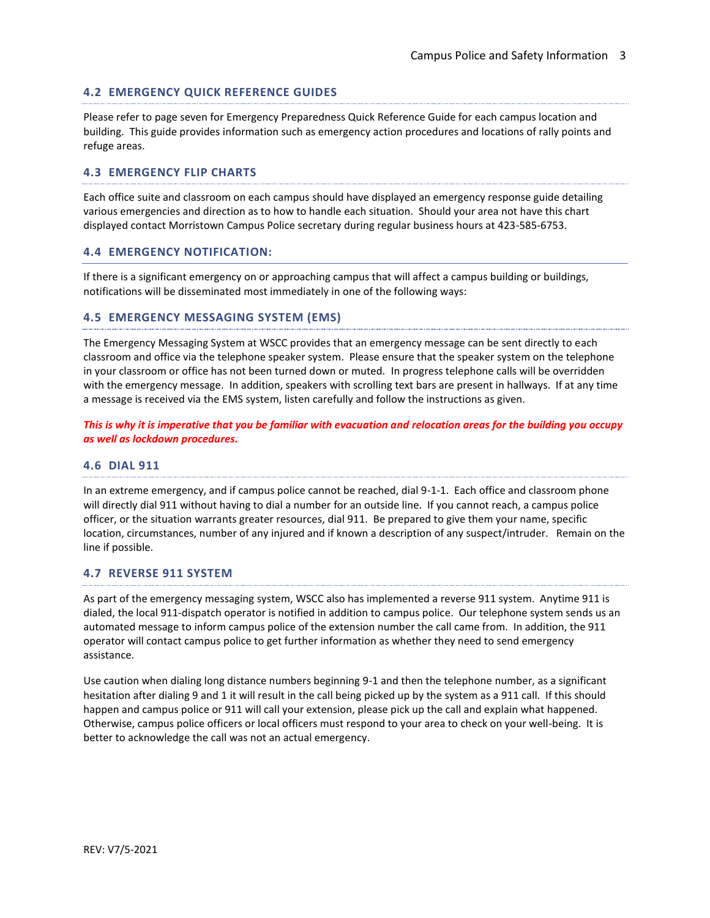## **4.2 EMERGENCY QUICK REFERENCE GUIDES**

Please refer to page seven for Emergency Preparedness Quick Reference Guide for each campus location and building. This guide provides information such as emergency action procedures and locations of rally points and refuge areas.

## **4.3 EMERGENCY FLIP CHARTS**

Each office suite and classroom on each campus should have displayed an emergency response guide detailing various emergencies and direction as to how to handle each situation. Should your area not have this chart displayed contact Morristown Campus Police secretary during regular business hours at 423-585-6753.

## **4.4 EMERGENCY NOTIFICATION:**

If there is a significant emergency on or approaching campus that will affect a campus building or buildings, notifications will be disseminated most immediately in one of the following ways:

#### **4.5 EMERGENCY MESSAGING SYSTEM (EMS)**

The Emergency Messaging System at WSCC provides that an emergency message can be sent directly to each classroom and office via the telephone speaker system. Please ensure that the speaker system on the telephone in your classroom or office has not been turned down or muted. In progress telephone calls will be overridden with the emergency message. In addition, speakers with scrolling text bars are present in hallways. If at any time a message is received via the EMS system, listen carefully and follow the instructions as given.

*This is why it is imperative that you be familiar with evacuation and relocation areas for the building you occupy as well as lockdown procedures.*

## **4.6 DIAL 911**

In an extreme emergency, and if campus police cannot be reached, dial 9-1-1. Each office and classroom phone will directly dial 911 without having to dial a number for an outside line. If you cannot reach, a campus police officer, or the situation warrants greater resources, dial 911. Be prepared to give them your name, specific location, circumstances, number of any injured and if known a description of any suspect/intruder. Remain on the line if possible.

#### **4.7 REVERSE 911 SYSTEM**

As part of the emergency messaging system, WSCC also has implemented a reverse 911 system. Anytime 911 is dialed, the local 911-dispatch operator is notified in addition to campus police. Our telephone system sends us an automated message to inform campus police of the extension number the call came from. In addition, the 911 operator will contact campus police to get further information as whether they need to send emergency assistance.

Use caution when dialing long distance numbers beginning 9-1 and then the telephone number, as a significant hesitation after dialing 9 and 1 it will result in the call being picked up by the system as a 911 call. If this should happen and campus police or 911 will call your extension, please pick up the call and explain what happened. Otherwise, campus police officers or local officers must respond to your area to check on your well-being. It is better to acknowledge the call was not an actual emergency.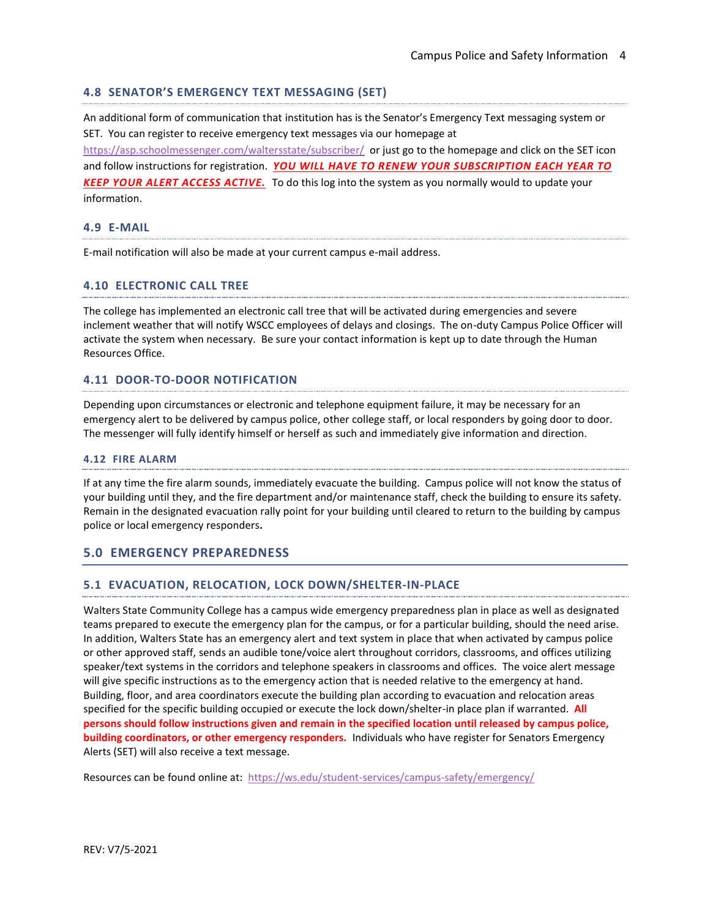## **4.8 SENATOR'S EMERGENCY TEXT MESSAGING (SET)**

An additional form of communication that institution has is the Senator's Emergency Text messaging system or SET. You can register to receive emergency text messages via our homepage at <https://asp.schoolmessenger.com/waltersstate/subscriber/> or just go to the homepage and click on the SET icon and follow instructions for registration. *YOU WILL HAVE TO RENEW YOUR SUBSCRIPTION EACH YEAR TO KEEP YOUR ALERT ACCESS ACTIVE.*To do this log into the system as you normally would to update your information.

#### **4.9 E-MAIL**

E-mail notification will also be made at your current campus e-mail address.

## **4.10 ELECTRONIC CALL TREE**

The college has implemented an electronic call tree that will be activated during emergencies and severe inclement weather that will notify WSCC employees of delays and closings. The on-duty Campus Police Officer will activate the system when necessary. Be sure your contact information is kept up to date through the Human Resources Office.

## **4.11 DOOR-TO-DOOR NOTIFICATION**

Depending upon circumstances or electronic and telephone equipment failure, it may be necessary for an emergency alert to be delivered by campus police, other college staff, or local responders by going door to door. The messenger will fully identify himself or herself as such and immediately give information and direction.

#### **4.12 FIRE ALARM**

If at any time the fire alarm sounds, immediately evacuate the building. Campus police will not know the status of your building until they, and the fire department and/or maintenance staff, check the building to ensure its safety. Remain in the designated evacuation rally point for your building until cleared to return to the building by campus police or local emergency responders**.**

## **5.0 EMERGENCY PREPAREDNESS**

#### **5.1 EVACUATION, RELOCATION, LOCK DOWN/SHELTER-IN-PLACE**

Walters State Community College has a campus wide emergency preparedness plan in place as well as designated teams prepared to execute the emergency plan for the campus, or for a particular building, should the need arise. In addition, Walters State has an emergency alert and text system in place that when activated by campus police or other approved staff, sends an audible tone/voice alert throughout corridors, classrooms, and offices utilizing speaker/text systems in the corridors and telephone speakers in classrooms and offices. The voice alert message will give specific instructions as to the emergency action that is needed relative to the emergency at hand. Building, floor, and area coordinators execute the building plan according to evacuation and relocation areas specified for the specific building occupied or execute the lock down/shelter-in place plan if warranted. **All persons should follow instructions given and remain in the specified location until released by campus police, building coordinators, or other emergency responders.** Individuals who have register for Senators Emergency Alerts (SET) will also receive a text message.

Resources can be found online at: <https://ws.edu/student-services/campus-safety/emergency/>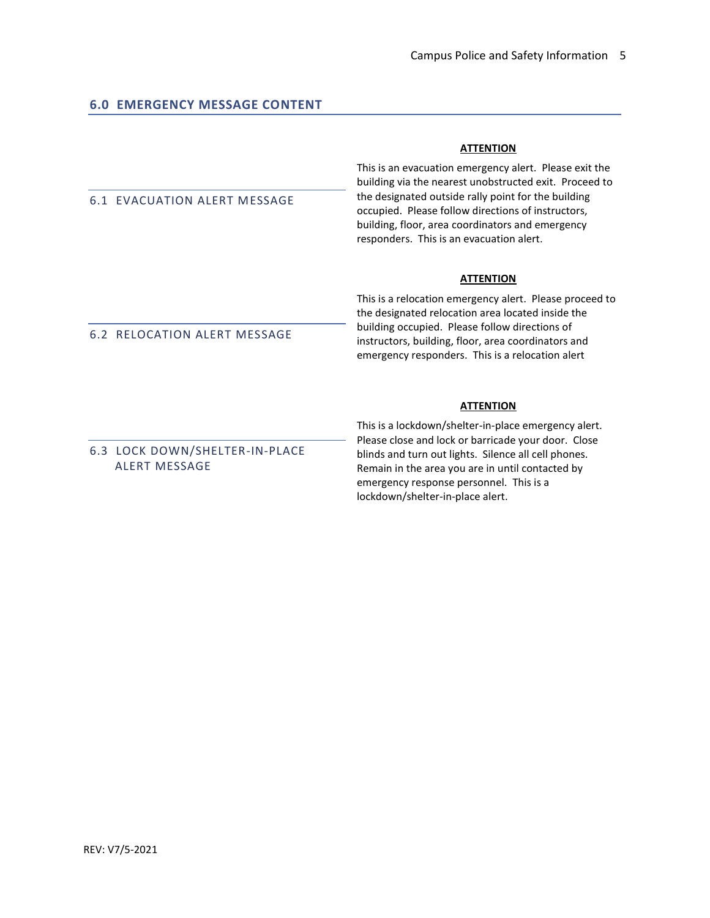## **ATTENTION**

6.1 EVACUATION ALERT MESSAGE

6.2 RELOCATION ALERT MESSAGE

This is an evacuation emergency alert. Please exit the building via the nearest unobstructed exit. Proceed to the designated outside rally point for the building occupied. Please follow directions of instructors, building, floor, area coordinators and emergency responders. This is an evacuation alert.

## **ATTENTION**

This is a relocation emergency alert. Please proceed to the designated relocation area located inside the building occupied. Please follow directions of instructors, building, floor, area coordinators and emergency responders. This is a relocation alert

## **ATTENTION**

6.3 LOCK DOWN/SHELTER-IN-PLACE ALERT MESSAGE

This is a lockdown/shelter-in-place emergency alert. Please close and lock or barricade your door. Close blinds and turn out lights. Silence all cell phones. Remain in the area you are in until contacted by emergency response personnel. This is a lockdown/shelter-in-place alert.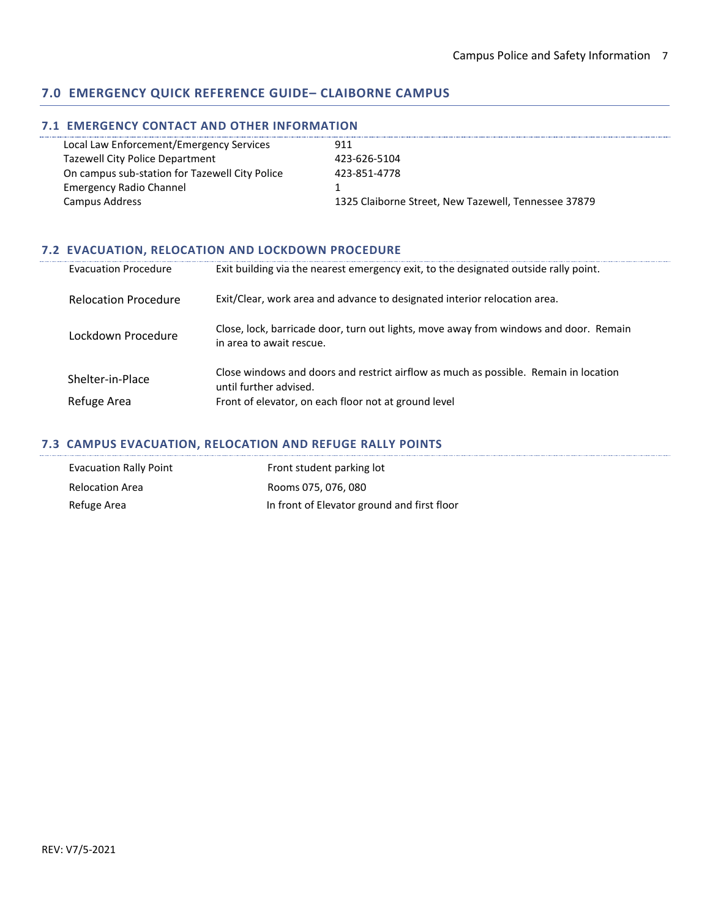## **7.0 EMERGENCY QUICK REFERENCE GUIDE– CLAIBORNE CAMPUS**

## **7.1 EMERGENCY CONTACT AND OTHER INFORMATION**

| Local Law Enforcement/Emergency Services       | 911                                                  |
|------------------------------------------------|------------------------------------------------------|
| <b>Tazewell City Police Department</b>         | 423-626-5104                                         |
| On campus sub-station for Tazewell City Police | 423-851-4778                                         |
| <b>Emergency Radio Channel</b>                 |                                                      |
| Campus Address                                 | 1325 Claiborne Street, New Tazewell, Tennessee 37879 |
|                                                |                                                      |

## **7.2 EVACUATION, RELOCATION AND LOCKDOWN PROCEDURE**

| <b>Evacuation Procedure</b> | Exit building via the nearest emergency exit, to the designated outside rally point.                              |
|-----------------------------|-------------------------------------------------------------------------------------------------------------------|
| <b>Relocation Procedure</b> | Exit/Clear, work area and advance to designated interior relocation area.                                         |
| Lockdown Procedure          | Close, lock, barricade door, turn out lights, move away from windows and door. Remain<br>in area to await rescue. |
| Shelter-in-Place            | Close windows and doors and restrict airflow as much as possible. Remain in location<br>until further advised.    |
| Refuge Area                 | Front of elevator, on each floor not at ground level                                                              |

## **7.3 CAMPUS EVACUATION, RELOCATION AND REFUGE RALLY POINTS**

| <b>Evacuation Rally Point</b> | Front student parking lot                   |
|-------------------------------|---------------------------------------------|
| <b>Relocation Area</b>        | Rooms 075, 076, 080                         |
| Refuge Area                   | In front of Elevator ground and first floor |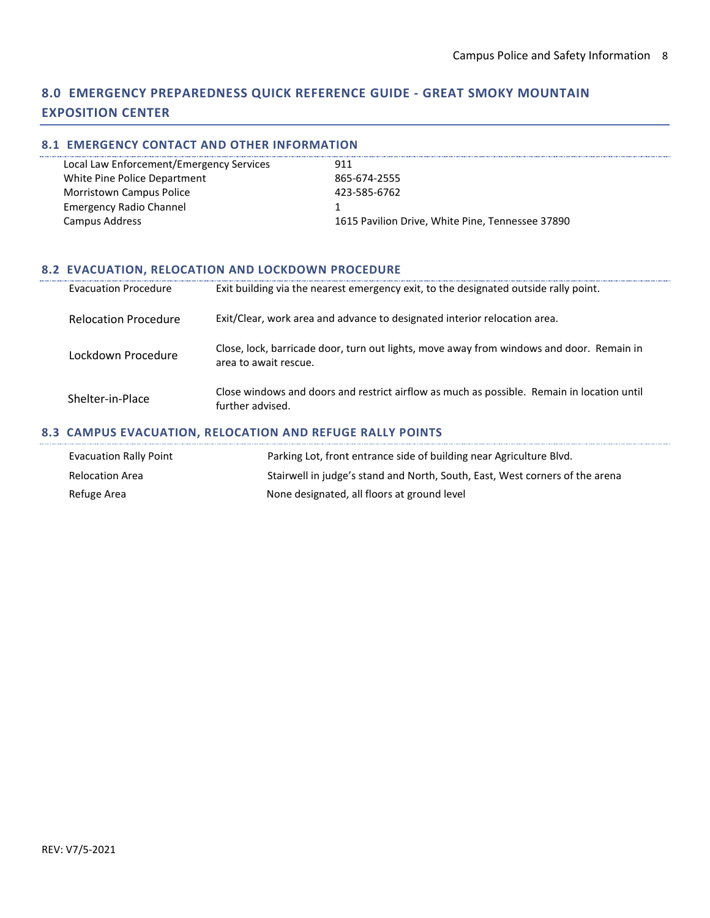# **8.0 EMERGENCY PREPAREDNESS QUICK REFERENCE GUIDE - GREAT SMOKY MOUNTAIN EXPOSITION CENTER**

## **8.1 EMERGENCY CONTACT AND OTHER INFORMATION**

| Local Law Enforcement/Emergency Services | 911                                              |
|------------------------------------------|--------------------------------------------------|
| White Pine Police Department             | 865-674-2555                                     |
| <b>Morristown Campus Police</b>          | 423-585-6762                                     |
| <b>Emergency Radio Channel</b>           |                                                  |
| Campus Address                           | 1615 Pavilion Drive, White Pine, Tennessee 37890 |

## **8.2 EVACUATION, RELOCATION AND LOCKDOWN PROCEDURE**

| <b>Evacuation Procedure</b> | Exit building via the nearest emergency exit, to the designated outside rally point.                              |
|-----------------------------|-------------------------------------------------------------------------------------------------------------------|
| <b>Relocation Procedure</b> | Exit/Clear, work area and advance to designated interior relocation area.                                         |
| Lockdown Procedure          | Close, lock, barricade door, turn out lights, move away from windows and door. Remain in<br>area to await rescue. |
| Shelter-in-Place            | Close windows and doors and restrict airflow as much as possible. Remain in location until<br>further advised.    |

## **8.3 CAMPUS EVACUATION, RELOCATION AND REFUGE RALLY POINTS**

| Evacuation Rally Point | Parking Lot, front entrance side of building near Agriculture Blvd.          |
|------------------------|------------------------------------------------------------------------------|
| <b>Relocation Area</b> | Stairwell in judge's stand and North, South, East, West corners of the arena |
| Refuge Area            | None designated, all floors at ground level                                  |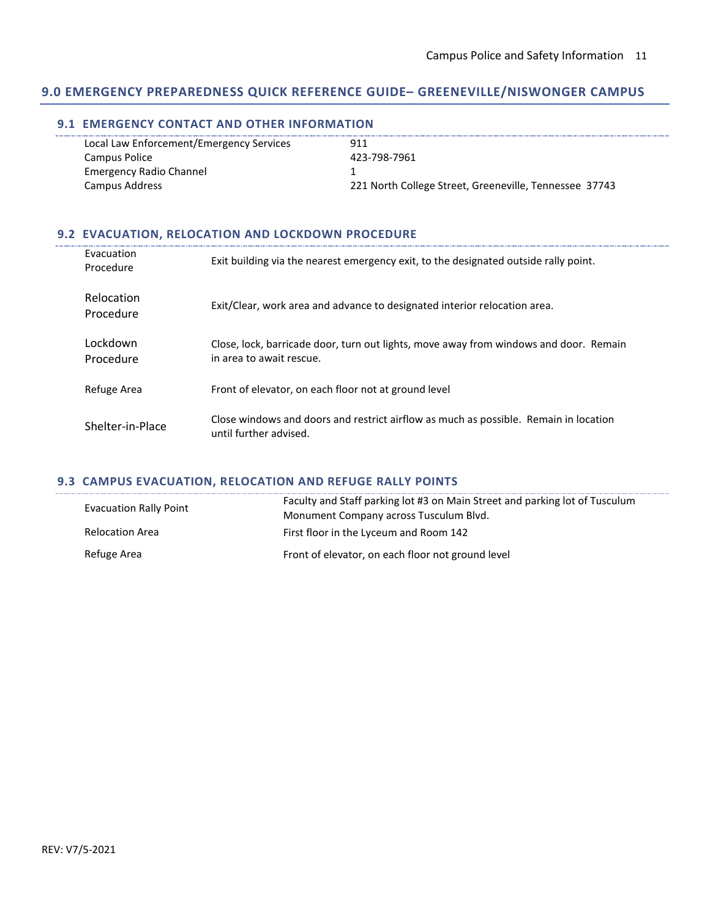## **9.0 EMERGENCY PREPAREDNESS QUICK REFERENCE GUIDE– GREENEVILLE/NISWONGER CAMPUS**

## **9.1 EMERGENCY CONTACT AND OTHER INFORMATION**

| Local Law Enforcement/Emergency Services | 911                                                    |
|------------------------------------------|--------------------------------------------------------|
| Campus Police                            | 423-798-7961                                           |
| <b>Emergency Radio Channel</b>           |                                                        |
| Campus Address                           | 221 North College Street, Greeneville, Tennessee 37743 |
|                                          |                                                        |

## **9.2 EVACUATION, RELOCATION AND LOCKDOWN PROCEDURE**

| Evacuation<br>Procedure | Exit building via the nearest emergency exit, to the designated outside rally point.                              |
|-------------------------|-------------------------------------------------------------------------------------------------------------------|
| Relocation<br>Procedure | Exit/Clear, work area and advance to designated interior relocation area.                                         |
| Lockdown<br>Procedure   | Close, lock, barricade door, turn out lights, move away from windows and door. Remain<br>in area to await rescue. |
| Refuge Area             | Front of elevator, on each floor not at ground level                                                              |
| Shelter-in-Place        | Close windows and doors and restrict airflow as much as possible. Remain in location<br>until further advised.    |

## **9.3 CAMPUS EVACUATION, RELOCATION AND REFUGE RALLY POINTS**

| <b>Evacuation Rally Point</b> | Faculty and Staff parking lot #3 on Main Street and parking lot of Tusculum<br>Monument Company across Tusculum Blvd. |
|-------------------------------|-----------------------------------------------------------------------------------------------------------------------|
| <b>Relocation Area</b>        | First floor in the Lyceum and Room 142                                                                                |
| Refuge Area                   | Front of elevator, on each floor not ground level                                                                     |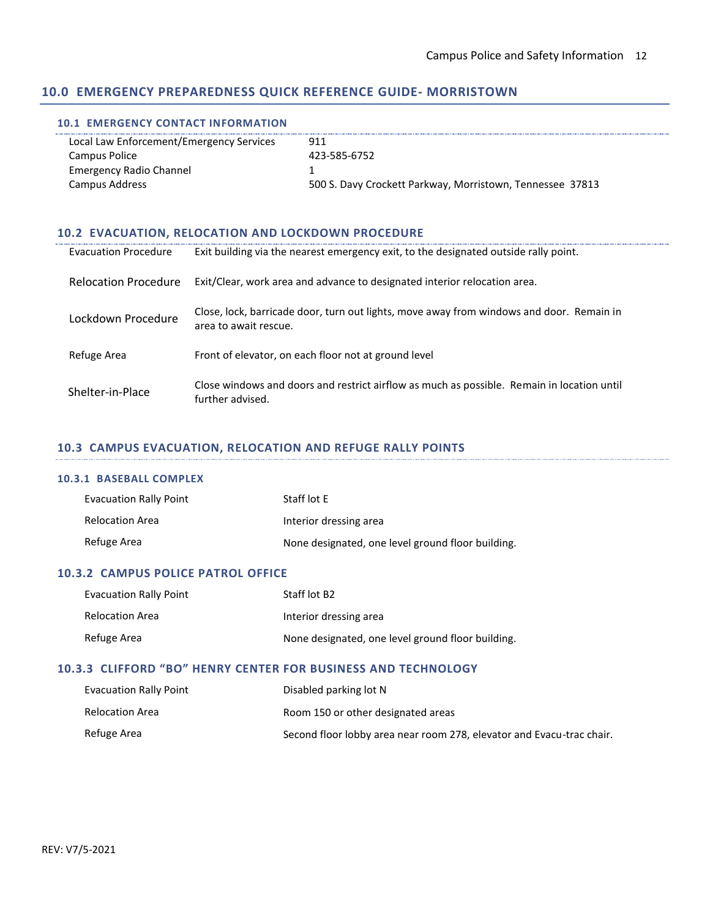## **10.0 EMERGENCY PREPAREDNESS QUICK REFERENCE GUIDE- MORRISTOWN**

#### **10.1 EMERGENCY CONTACT INFORMATION**

| Local Law Enforcement/Emergency Services | 911                                                       |
|------------------------------------------|-----------------------------------------------------------|
| Campus Police                            | 423-585-6752                                              |
| <b>Emergency Radio Channel</b>           |                                                           |
| Campus Address                           | 500 S. Davy Crockett Parkway, Morristown, Tennessee 37813 |

## **10.2 EVACUATION, RELOCATION AND LOCKDOWN PROCEDURE**

| <b>Evacuation Procedure</b> | Exit building via the nearest emergency exit, to the designated outside rally point.                              |
|-----------------------------|-------------------------------------------------------------------------------------------------------------------|
| <b>Relocation Procedure</b> | Exit/Clear, work area and advance to designated interior relocation area.                                         |
| Lockdown Procedure          | Close, lock, barricade door, turn out lights, move away from windows and door. Remain in<br>area to await rescue. |
| Refuge Area                 | Front of elevator, on each floor not at ground level                                                              |
| Shelter-in-Place            | Close windows and doors and restrict airflow as much as possible. Remain in location until<br>further advised.    |

## **10.3 CAMPUS EVACUATION, RELOCATION AND REFUGE RALLY POINTS**

## **10.3.1 BASEBALL COMPLEX**

| <b>Evacuation Rally Point</b> | Staff lot E                                       |
|-------------------------------|---------------------------------------------------|
| Relocation Area               | Interior dressing area                            |
| Refuge Area                   | None designated, one level ground floor building. |

## **10.3.2 CAMPUS POLICE PATROL OFFICE**

| <b>Evacuation Rally Point</b> | Staff lot B <sub>2</sub>                          |
|-------------------------------|---------------------------------------------------|
| <b>Relocation Area</b>        | Interior dressing area                            |
| Refuge Area                   | None designated, one level ground floor building. |

## **10.3.3 CLIFFORD "BO" HENRY CENTER FOR BUSINESS AND TECHNOLOGY**

| <b>Evacuation Rally Point</b> | Disabled parking lot N                                                |
|-------------------------------|-----------------------------------------------------------------------|
| <b>Relocation Area</b>        | Room 150 or other designated areas                                    |
| Refuge Area                   | Second floor lobby area near room 278, elevator and Evacu-trac chair. |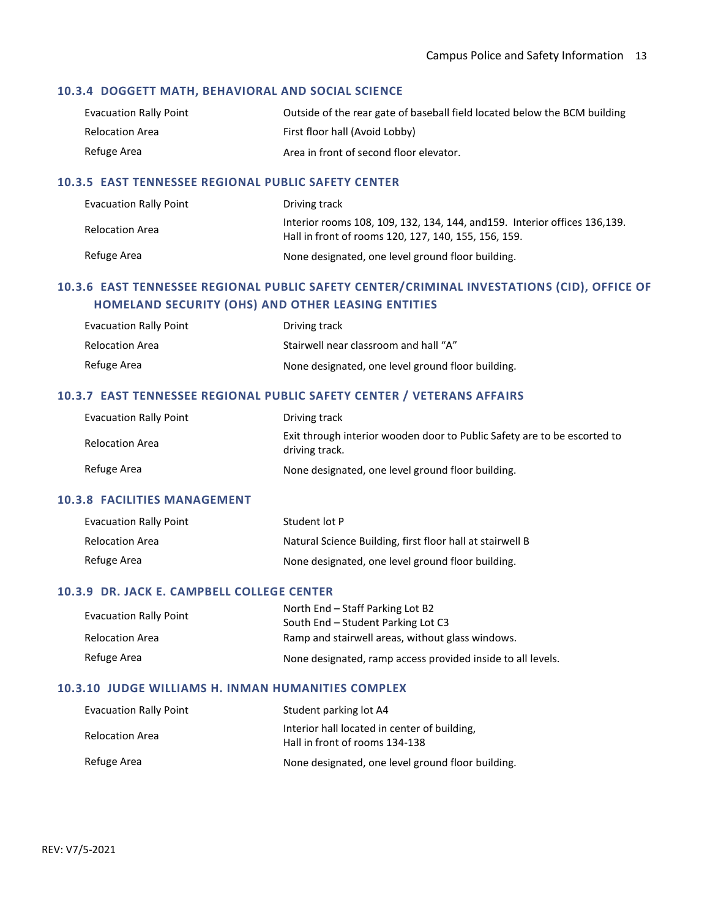## **10.3.4 DOGGETT MATH, BEHAVIORAL AND SOCIAL SCIENCE**

| <b>Evacuation Rally Point</b> | Outside of the rear gate of baseball field located below the BCM building |
|-------------------------------|---------------------------------------------------------------------------|
| Relocation Area               | First floor hall (Avoid Lobby)                                            |
| Refuge Area                   | Area in front of second floor elevator.                                   |

## **10.3.5 EAST TENNESSEE REGIONAL PUBLIC SAFETY CENTER**

| <b>Evacuation Rally Point</b> | Driving track                                                                                                                       |
|-------------------------------|-------------------------------------------------------------------------------------------------------------------------------------|
| Relocation Area               | Interior rooms 108, 109, 132, 134, 144, and 159. Interior offices 136, 139.<br>Hall in front of rooms 120, 127, 140, 155, 156, 159. |
| Refuge Area                   | None designated, one level ground floor building.                                                                                   |

## **10.3.6 EAST TENNESSEE REGIONAL PUBLIC SAFETY CENTER/CRIMINAL INVESTATIONS (CID), OFFICE OF HOMELAND SECURITY (OHS) AND OTHER LEASING ENTITIES**

| Evacuation Rally Point | Driving track                                     |
|------------------------|---------------------------------------------------|
| Relocation Area        | Stairwell near classroom and hall "A"             |
| Refuge Area            | None designated, one level ground floor building. |

## **10.3.7 EAST TENNESSEE REGIONAL PUBLIC SAFETY CENTER / VETERANS AFFAIRS**

| <b>Evacuation Rally Point</b> | Driving track                                                                              |
|-------------------------------|--------------------------------------------------------------------------------------------|
| <b>Relocation Area</b>        | Exit through interior wooden door to Public Safety are to be escorted to<br>driving track. |
| Refuge Area                   | None designated, one level ground floor building.                                          |

## **10.3.8 FACILITIES MANAGEMENT**

| <b>Evacuation Rally Point</b> | Student lot P                                             |
|-------------------------------|-----------------------------------------------------------|
| <b>Relocation Area</b>        | Natural Science Building, first floor hall at stairwell B |
| Refuge Area                   | None designated, one level ground floor building.         |

## **10.3.9 DR. JACK E. CAMPBELL COLLEGE CENTER**

| <b>Evacuation Rally Point</b> | North End – Staff Parking Lot B2                            |
|-------------------------------|-------------------------------------------------------------|
|                               | South End – Student Parking Lot C3                          |
| Relocation Area               | Ramp and stairwell areas, without glass windows.            |
| Refuge Area                   | None designated, ramp access provided inside to all levels. |

#### **10.3.10 JUDGE WILLIAMS H. INMAN HUMANITIES COMPLEX**

| <b>Evacuation Rally Point</b> | Student parking lot A4                                                         |
|-------------------------------|--------------------------------------------------------------------------------|
| <b>Relocation Area</b>        | Interior hall located in center of building.<br>Hall in front of rooms 134-138 |
| Refuge Area                   | None designated, one level ground floor building.                              |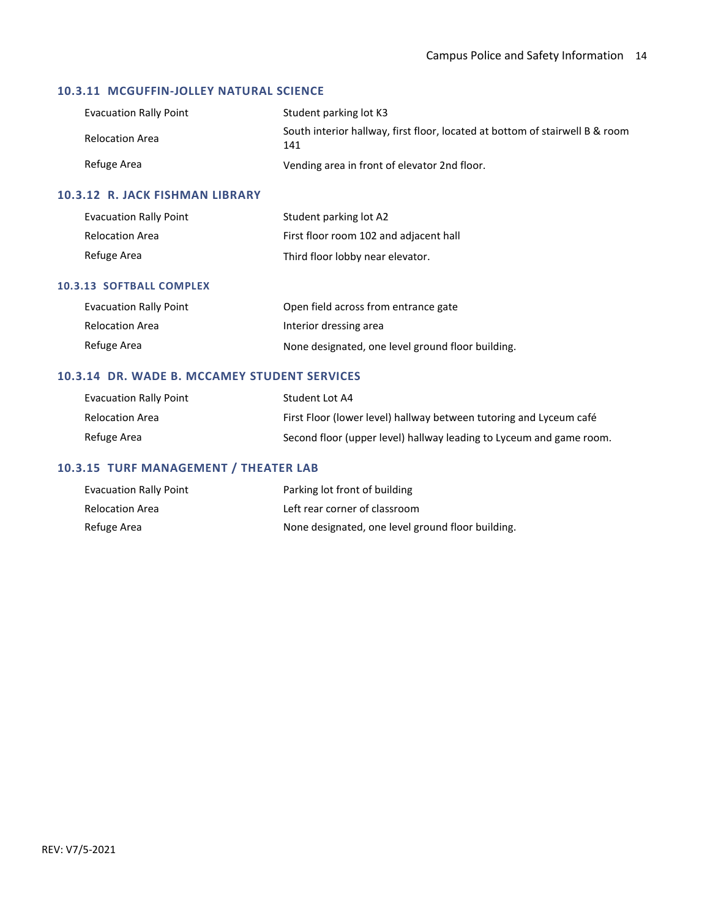## **10.3.11 MCGUFFIN-JOLLEY NATURAL SCIENCE**

| <b>Evacuation Rally Point</b> | Student parking lot K3                                                              |
|-------------------------------|-------------------------------------------------------------------------------------|
| Relocation Area               | South interior hallway, first floor, located at bottom of stairwell B & room<br>141 |
| Refuge Area                   | Vending area in front of elevator 2nd floor.                                        |

## **10.3.12 R. JACK FISHMAN LIBRARY**

| <b>Evacuation Rally Point</b> | Student parking lot A2                 |
|-------------------------------|----------------------------------------|
| <b>Relocation Area</b>        | First floor room 102 and adjacent hall |
| Refuge Area                   | Third floor lobby near elevator.       |

#### **10.3.13 SOFTBALL COMPLEX**

| <b>Evacuation Rally Point</b> | Open field across from entrance gate              |
|-------------------------------|---------------------------------------------------|
| <b>Relocation Area</b>        | Interior dressing area                            |
| Refuge Area                   | None designated, one level ground floor building. |

## **10.3.14 DR. WADE B. MCCAMEY STUDENT SERVICES**

| Evacuation Rally Point | Student Lot A4                                                      |
|------------------------|---------------------------------------------------------------------|
| Relocation Area        | First Floor (lower level) hallway between tutoring and Lyceum café  |
| Refuge Area            | Second floor (upper level) hallway leading to Lyceum and game room. |

# **10.3.15 TURF MANAGEMENT / THEATER LAB**

| <b>Evacuation Rally Point</b> | Parking lot front of building                     |
|-------------------------------|---------------------------------------------------|
| <b>Relocation Area</b>        | Left rear corner of classroom                     |
| Refuge Area                   | None designated, one level ground floor building. |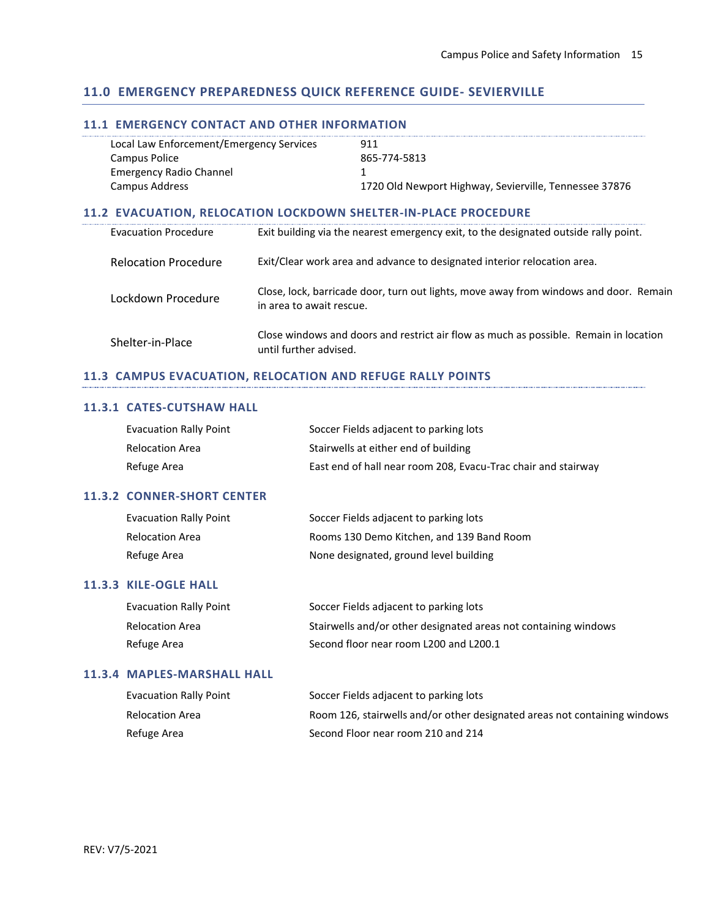## **11.0 EMERGENCY PREPAREDNESS QUICK REFERENCE GUIDE- SEVIERVILLE**

## **11.1 EMERGENCY CONTACT AND OTHER INFORMATION**

| Local Law Enforcement/Emergency Services | 911                                                    |
|------------------------------------------|--------------------------------------------------------|
| Campus Police                            | 865-774-5813                                           |
| <b>Emergency Radio Channel</b>           |                                                        |
| Campus Address                           | 1720 Old Newport Highway, Sevierville, Tennessee 37876 |

## **11.2 EVACUATION, RELOCATION LOCKDOWN SHELTER-IN-PLACE PROCEDURE**

| <b>Evacuation Procedure</b> | Exit building via the nearest emergency exit, to the designated outside rally point.                              |
|-----------------------------|-------------------------------------------------------------------------------------------------------------------|
| <b>Relocation Procedure</b> | Exit/Clear work area and advance to designated interior relocation area.                                          |
| Lockdown Procedure          | Close, lock, barricade door, turn out lights, move away from windows and door. Remain<br>in area to await rescue. |
| Shelter-in-Place            | Close windows and doors and restrict air flow as much as possible. Remain in location<br>until further advised.   |

## **11.3 CAMPUS EVACUATION, RELOCATION AND REFUGE RALLY POINTS**

#### **11.3.1 CATES-CUTSHAW HALL**

| <b>Evacuation Rally Point</b> | Soccer Fields adjacent to parking lots                        |
|-------------------------------|---------------------------------------------------------------|
| Relocation Area               | Stairwells at either end of building                          |
| Refuge Area                   | East end of hall near room 208, Evacu-Trac chair and stairway |

## **11.3.2 CONNER-SHORT CENTER**

| <b>Evacuation Rally Point</b> | Soccer Fields adjacent to parking lots    |
|-------------------------------|-------------------------------------------|
| Relocation Area               | Rooms 130 Demo Kitchen, and 139 Band Room |
| Refuge Area                   | None designated, ground level building    |

#### **11.3.3 KILE-OGLE HALL**

| <b>Evacuation Rally Point</b> | Soccer Fields adjacent to parking lots                          |
|-------------------------------|-----------------------------------------------------------------|
| Relocation Area               | Stairwells and/or other designated areas not containing windows |
| Refuge Area                   | Second floor near room L200 and L200.1                          |

#### **11.3.4 MAPLES-MARSHALL HALL**

| <b>Evacuation Rally Point</b> | Soccer Fields adjacent to parking lots                                    |
|-------------------------------|---------------------------------------------------------------------------|
| Relocation Area               | Room 126, stairwells and/or other designated areas not containing windows |
| Refuge Area                   | Second Floor near room 210 and 214                                        |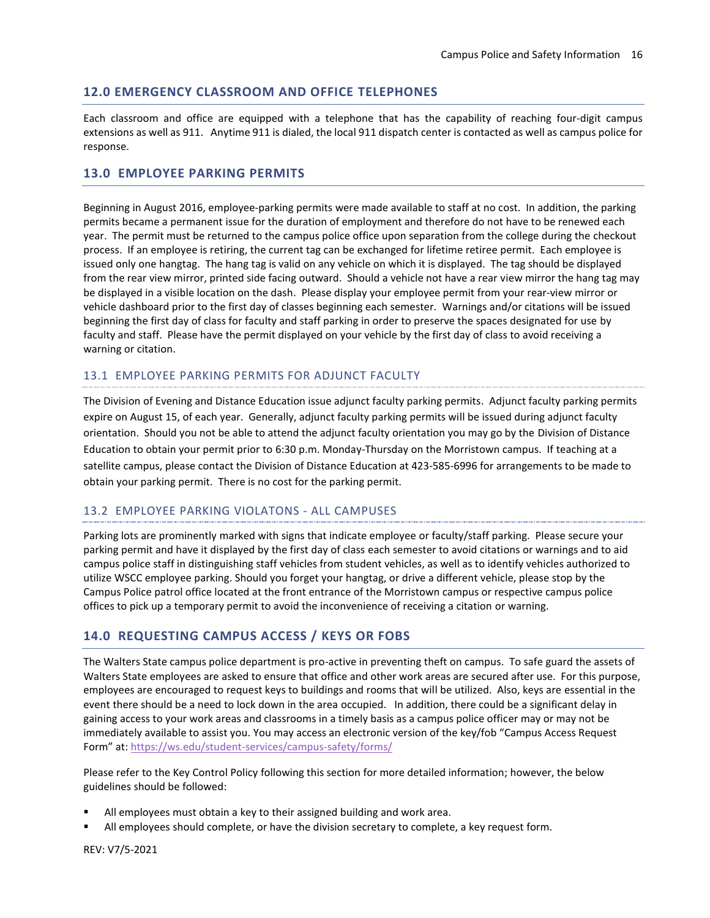## **12.0 EMERGENCY CLASSROOM AND OFFICE TELEPHONES**

Each classroom and office are equipped with a telephone that has the capability of reaching four-digit campus extensions as well as 911. Anytime 911 is dialed, the local 911 dispatch center is contacted as well as campus police for response.

## **13.0 EMPLOYEE PARKING PERMITS**

Beginning in August 2016, employee-parking permits were made available to staff at no cost. In addition, the parking permits became a permanent issue for the duration of employment and therefore do not have to be renewed each year. The permit must be returned to the campus police office upon separation from the college during the checkout process. If an employee is retiring, the current tag can be exchanged for lifetime retiree permit. Each employee is issued only one hangtag. The hang tag is valid on any vehicle on which it is displayed. The tag should be displayed from the rear view mirror, printed side facing outward. Should a vehicle not have a rear view mirror the hang tag may be displayed in a visible location on the dash. Please display your employee permit from your rear-view mirror or vehicle dashboard prior to the first day of classes beginning each semester. Warnings and/or citations will be issued beginning the first day of class for faculty and staff parking in order to preserve the spaces designated for use by faculty and staff. Please have the permit displayed on your vehicle by the first day of class to avoid receiving a warning or citation.

## 13.1 EMPLOYEE PARKING PERMITS FOR ADJUNCT FACULTY

The Division of Evening and Distance Education issue adjunct faculty parking permits. Adjunct faculty parking permits expire on August 15, of each year. Generally, adjunct faculty parking permits will be issued during adjunct faculty orientation. Should you not be able to attend the adjunct faculty orientation you may go by the Division of Distance Education to obtain your permit prior to 6:30 p.m. Monday-Thursday on the Morristown campus. If teaching at a satellite campus, please contact the Division of Distance Education at 423-585-6996 for arrangements to be made to obtain your parking permit. There is no cost for the parking permit.

## 13.2 EMPLOYEE PARKING VIOLATONS - ALL CAMPUSES

Parking lots are prominently marked with signs that indicate employee or faculty/staff parking. Please secure your parking permit and have it displayed by the first day of class each semester to avoid citations or warnings and to aid campus police staff in distinguishing staff vehicles from student vehicles, as well as to identify vehicles authorized to utilize WSCC employee parking. Should you forget your hangtag, or drive a different vehicle, please stop by the Campus Police patrol office located at the front entrance of the Morristown campus or respective campus police offices to pick up a temporary permit to avoid the inconvenience of receiving a citation or warning.

## **14.0 REQUESTING CAMPUS ACCESS / KEYS OR FOBS**

The Walters State campus police department is pro-active in preventing theft on campus. To safe guard the assets of Walters State employees are asked to ensure that office and other work areas are secured after use. For this purpose, employees are encouraged to request keys to buildings and rooms that will be utilized. Also, keys are essential in the event there should be a need to lock down in the area occupied. In addition, there could be a significant delay in gaining access to your work areas and classrooms in a timely basis as a campus police officer may or may not be immediately available to assist you. You may access an electronic version of the key/fob "Campus Access Request Form" at: <https://ws.edu/student-services/campus-safety/forms/>

Please refer to the Key Control Policy following this section for more detailed information; however, the below guidelines should be followed:

- All employees must obtain a key to their assigned building and work area.
- All employees should complete, or have the division secretary to complete, a key request form.

REV: V7/5-2021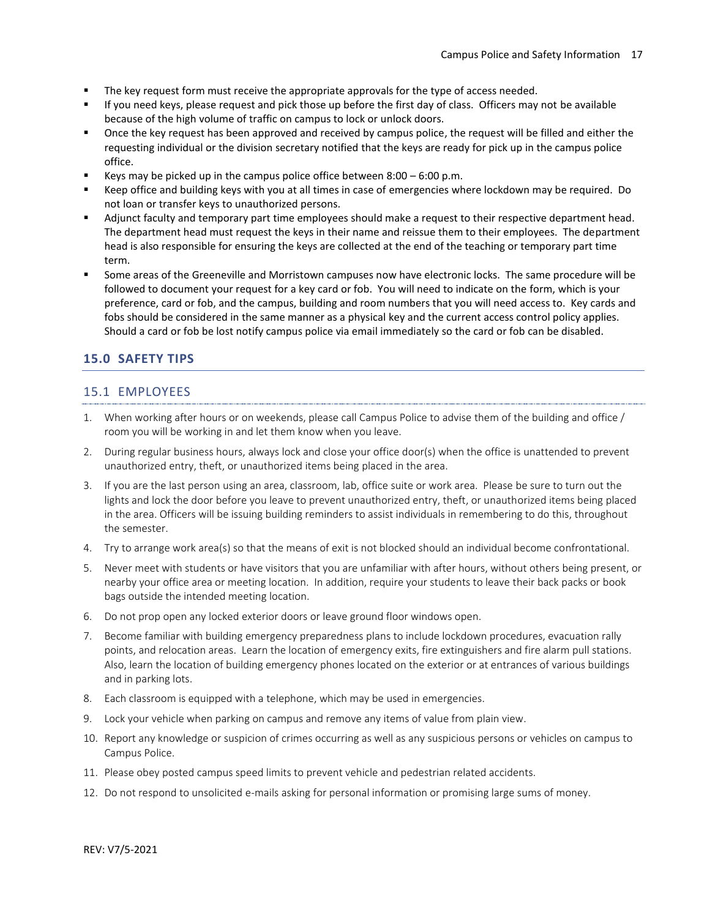- The key request form must receive the appropriate approvals for the type of access needed.
- If you need keys, please request and pick those up before the first day of class. Officers may not be available because of the high volume of traffic on campus to lock or unlock doors.
- Once the key request has been approved and received by campus police, the request will be filled and either the requesting individual or the division secretary notified that the keys are ready for pick up in the campus police office.
- Keys may be picked up in the campus police office between  $8:00 6:00$  p.m.
- Keep office and building keys with you at all times in case of emergencies where lockdown may be required. Do not loan or transfer keys to unauthorized persons.
- Adjunct faculty and temporary part time employees should make a request to their respective department head. The department head must request the keys in their name and reissue them to their employees. The department head is also responsible for ensuring the keys are collected at the end of the teaching or temporary part time term.
- Some areas of the Greeneville and Morristown campuses now have electronic locks. The same procedure will be followed to document your request for a key card or fob. You will need to indicate on the form, which is your preference, card or fob, and the campus, building and room numbers that you will need access to. Key cards and fobs should be considered in the same manner as a physical key and the current access control policy applies. Should a card or fob be lost notify campus police via email immediately so the card or fob can be disabled.

## **15.0 SAFETY TIPS**

## 15.1 EMPLOYEES

- 1. When working after hours or on weekends, please call Campus Police to advise them of the building and office / room you will be working in and let them know when you leave.
- 2. During regular business hours, always lock and close your office door(s) when the office is unattended to prevent unauthorized entry, theft, or unauthorized items being placed in the area.
- 3. If you are the last person using an area, classroom, lab, office suite or work area. Please be sure to turn out the lights and lock the door before you leave to prevent unauthorized entry, theft, or unauthorized items being placed in the area. Officers will be issuing building reminders to assist individuals in remembering to do this, throughout the semester.
- 4. Try to arrange work area(s) so that the means of exit is not blocked should an individual become confrontational.
- 5. Never meet with students or have visitors that you are unfamiliar with after hours, without others being present, or nearby your office area or meeting location. In addition, require your students to leave their back packs or book bags outside the intended meeting location.
- 6. Do not prop open any locked exterior doors or leave ground floor windows open.
- 7. Become familiar with building emergency preparedness plans to include lockdown procedures, evacuation rally points, and relocation areas. Learn the location of emergency exits, fire extinguishers and fire alarm pull stations. Also, learn the location of building emergency phones located on the exterior or at entrances of various buildings and in parking lots.
- 8. Each classroom is equipped with a telephone, which may be used in emergencies.
- 9. Lock your vehicle when parking on campus and remove any items of value from plain view.
- 10. Report any knowledge or suspicion of crimes occurring as well as any suspicious persons or vehicles on campus to Campus Police.
- 11. Please obey posted campus speed limits to prevent vehicle and pedestrian related accidents.
- 12. Do not respond to unsolicited e-mails asking for personal information or promising large sums of money.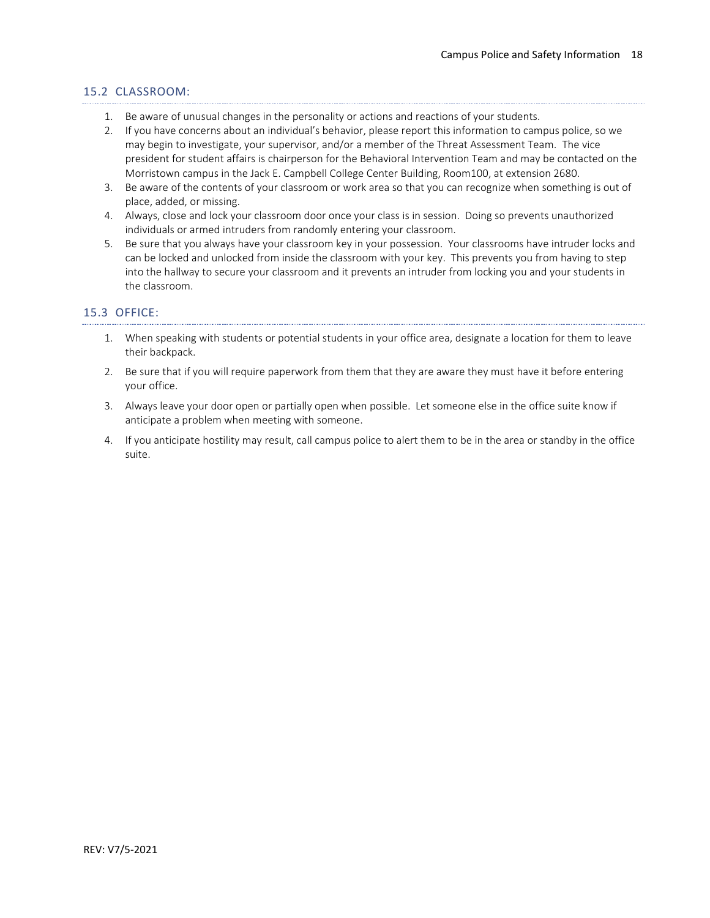## 15.2 CLASSROOM:

- 1. Be aware of unusual changes in the personality or actions and reactions of your students.
- 2. If you have concerns about an individual's behavior, please report this information to campus police, so we may begin to investigate, your supervisor, and/or a member of the Threat Assessment Team. The vice president for student affairs is chairperson for the Behavioral Intervention Team and may be contacted on the Morristown campus in the Jack E. Campbell College Center Building, Room100, at extension 2680.
- 3. Be aware of the contents of your classroom or work area so that you can recognize when something is out of place, added, or missing.
- 4. Always, close and lock your classroom door once your class is in session. Doing so prevents unauthorized individuals or armed intruders from randomly entering your classroom.
- 5. Be sure that you always have your classroom key in your possession. Your classrooms have intruder locks and can be locked and unlocked from inside the classroom with your key. This prevents you from having to step into the hallway to secure your classroom and it prevents an intruder from locking you and your students in the classroom.

## 15.3 OFFICE:

- 1. When speaking with students or potential students in your office area, designate a location for them to leave their backpack.
- 2. Be sure that if you will require paperwork from them that they are aware they must have it before entering your office.
- 3. Always leave your door open or partially open when possible. Let someone else in the office suite know if anticipate a problem when meeting with someone.
- 4. If you anticipate hostility may result, call campus police to alert them to be in the area or standby in the office suite.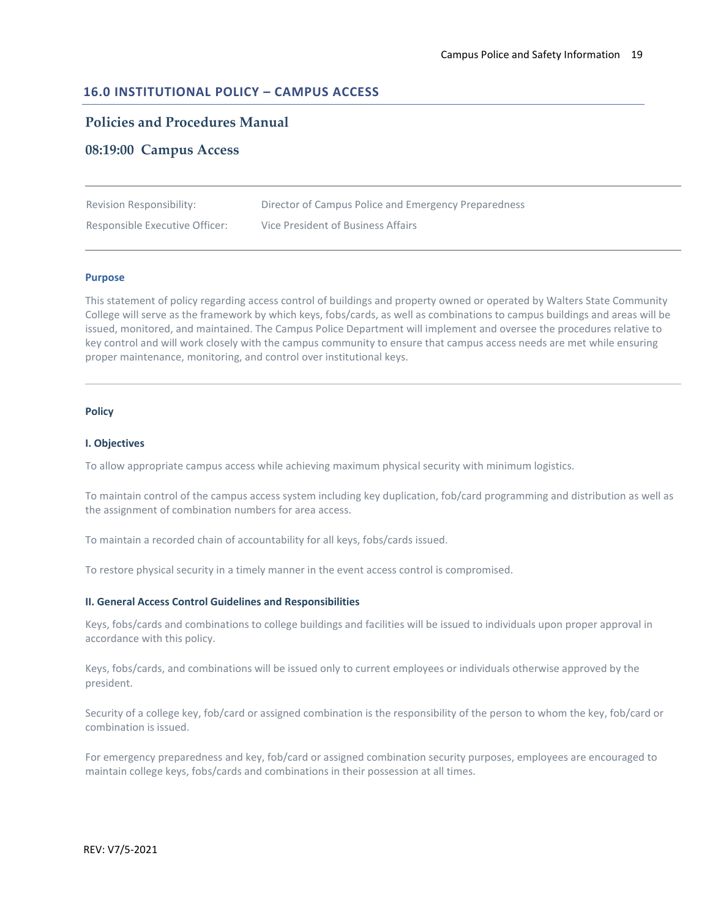## **16.0 INSTITUTIONAL POLICY – CAMPUS ACCESS**

## **Policies and Procedures Manual**

## **08:19:00 Campus Access**

| Revision Responsibility:       | Director of Campus Police and Emergency Preparedness |
|--------------------------------|------------------------------------------------------|
| Responsible Executive Officer: | Vice President of Business Affairs                   |

#### **Purpose**

This statement of policy regarding access control of buildings and property owned or operated by Walters State Community College will serve as the framework by which keys, fobs/cards, as well as combinations to campus buildings and areas will be issued, monitored, and maintained. The Campus Police Department will implement and oversee the procedures relative to key control and will work closely with the campus community to ensure that campus access needs are met while ensuring proper maintenance, monitoring, and control over institutional keys.

#### **Policy**

#### **I. Objectives**

To allow appropriate campus access while achieving maximum physical security with minimum logistics.

To maintain control of the campus access system including key duplication, fob/card programming and distribution as well as the assignment of combination numbers for area access.

To maintain a recorded chain of accountability for all keys, fobs/cards issued.

To restore physical security in a timely manner in the event access control is compromised.

#### **II. General Access Control Guidelines and Responsibilities**

Keys, fobs/cards and combinations to college buildings and facilities will be issued to individuals upon proper approval in accordance with this policy.

Keys, fobs/cards, and combinations will be issued only to current employees or individuals otherwise approved by the president.

Security of a college key, fob/card or assigned combination is the responsibility of the person to whom the key, fob/card or combination is issued.

For emergency preparedness and key, fob/card or assigned combination security purposes, employees are encouraged to maintain college keys, fobs/cards and combinations in their possession at all times.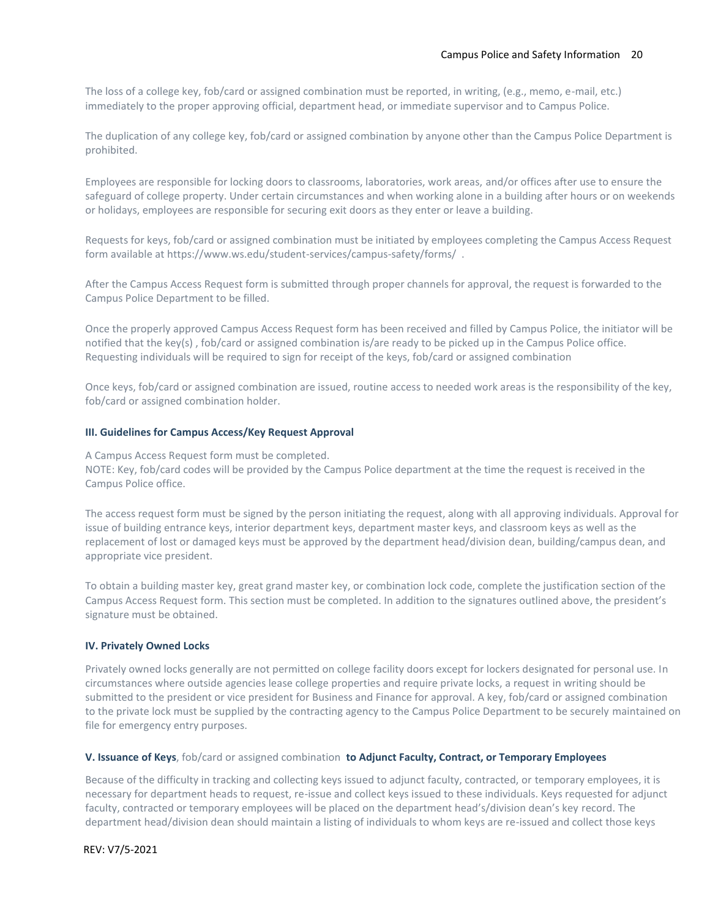The loss of a college key, fob/card or assigned combination must be reported, in writing, (e.g., memo, e-mail, etc.) immediately to the proper approving official, department head, or immediate supervisor and to Campus Police.

The duplication of any college key, fob/card or assigned combination by anyone other than the Campus Police Department is prohibited.

Employees are responsible for locking doors to classrooms, laboratories, work areas, and/or offices after use to ensure the safeguard of college property. Under certain circumstances and when working alone in a building after hours or on weekends or holidays, employees are responsible for securing exit doors as they enter or leave a building.

Requests for keys, fob/card or assigned combination must be initiated by employees completing the Campus Access Request form available at https://www.ws.edu/student-services/campus-safety/forms/ .

After the Campus Access Request form is submitted through proper channels for approval, the request is forwarded to the Campus Police Department to be filled.

Once the properly approved Campus Access Request form has been received and filled by Campus Police, the initiator will be notified that the key(s) , fob/card or assigned combination is/are ready to be picked up in the Campus Police office. Requesting individuals will be required to sign for receipt of the keys, fob/card or assigned combination

Once keys, fob/card or assigned combination are issued, routine access to needed work areas is the responsibility of the key, fob/card or assigned combination holder.

#### **III. Guidelines for Campus Access/Key Request Approval**

A. A Campus Access Request form must be completed. NOTE: Key, fob/card codes will be provided by the Campus Police department at the time the request is received in the Campus Police office.

The access request form must be signed by the person initiating the request, along with all approving individuals. Approval for issue of building entrance keys, interior department keys, department master keys, and classroom keys as well as the replacement of lost or damaged keys must be approved by the department head/division dean, building/campus dean, and appropriate vice president.

To obtain a building master key, great grand master key, or combination lock code, complete the justification section of the Campus Access Request form. This section must be completed. In addition to the signatures outlined above, the president's signature must be obtained.

#### **IV. Privately Owned Locks**

Privately owned locks generally are not permitted on college facility doors except for lockers designated for personal use. In circumstances where outside agencies lease college properties and require private locks, a request in writing should be submitted to the president or vice president for Business and Finance for approval. A key, fob/card or assigned combination to the private lock must be supplied by the contracting agency to the Campus Police Department to be securely maintained on file for emergency entry purposes.

#### **V. Issuance of Keys**, fob/card or assigned combination **to Adjunct Faculty, Contract, or Temporary Employees**

Because of the difficulty in tracking and collecting keys issued to adjunct faculty, contracted, or temporary employees, it is necessary for department heads to request, re-issue and collect keys issued to these individuals. Keys requested for adjunct faculty, contracted or temporary employees will be placed on the department head's/division dean's key record. The department head/division dean should maintain a listing of individuals to whom keys are re-issued and collect those keys

REV: V7/5-2021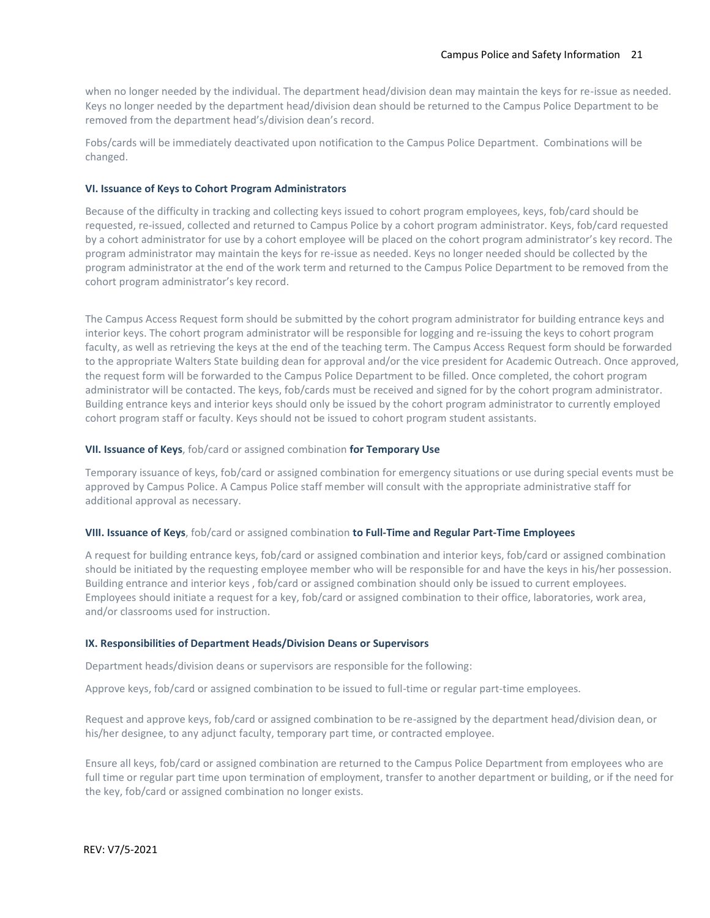when no longer needed by the individual. The department head/division dean may maintain the keys for re-issue as needed. Keys no longer needed by the department head/division dean should be returned to the Campus Police Department to be removed from the department head's/division dean's record.

Fobs/cards will be immediately deactivated upon notification to the Campus Police Department. Combinations will be changed.

#### **VI. Issuance of Keys to Cohort Program Administrators**

Because of the difficulty in tracking and collecting keys issued to cohort program employees, keys, fob/card should be requested, re-issued, collected and returned to Campus Police by a cohort program administrator. Keys, fob/card requested by a cohort administrator for use by a cohort employee will be placed on the cohort program administrator's key record. The program administrator may maintain the keys for re-issue as needed. Keys no longer needed should be collected by the program administrator at the end of the work term and returned to the Campus Police Department to be removed from the cohort program administrator's key record.

The Campus Access Request form should be submitted by the cohort program administrator for building entrance keys and interior keys. The cohort program administrator will be responsible for logging and re-issuing the keys to cohort program faculty, as well as retrieving the keys at the end of the teaching term. The Campus Access Request form should be forwarded to the appropriate Walters State building dean for approval and/or the vice president for Academic Outreach. Once approved, the request form will be forwarded to the Campus Police Department to be filled. Once completed, the cohort program administrator will be contacted. The keys, fob/cards must be received and signed for by the cohort program administrator. Building entrance keys and interior keys should only be issued by the cohort program administrator to currently employed cohort program staff or faculty. Keys should not be issued to cohort program student assistants.

#### **VII. Issuance of Keys**, fob/card or assigned combination **for Temporary Use**

Temporary issuance of keys, fob/card or assigned combination for emergency situations or use during special events must be approved by Campus Police. A Campus Police staff member will consult with the appropriate administrative staff for additional approval as necessary.

#### **VIII. Issuance of Keys**, fob/card or assigned combination **to Full-Time and Regular Part-Time Employees**

A request for building entrance keys, fob/card or assigned combination and interior keys, fob/card or assigned combination should be initiated by the requesting employee member who will be responsible for and have the keys in his/her possession. Building entrance and interior keys , fob/card or assigned combination should only be issued to current employees. Employees should initiate a request for a key, fob/card or assigned combination to their office, laboratories, work area, and/or classrooms used for instruction.

#### **IX. Responsibilities of Department Heads/Division Deans or Supervisors**

Department heads/division deans or supervisors are responsible for the following:

Approve keys, fob/card or assigned combination to be issued to full-time or regular part-time employees.

B. Request and approve keys, fob/card or assigned combination to be re-assigned by the department head/division dean, or his/her designee, to any adjunct faculty, temporary part time, or contracted employee.

Ensure all keys, fob/card or assigned combination are returned to the Campus Police Department from employees who are full time or regular part time upon termination of employment, transfer to another department or building, or if the need for the key, fob/card or assigned combination no longer exists.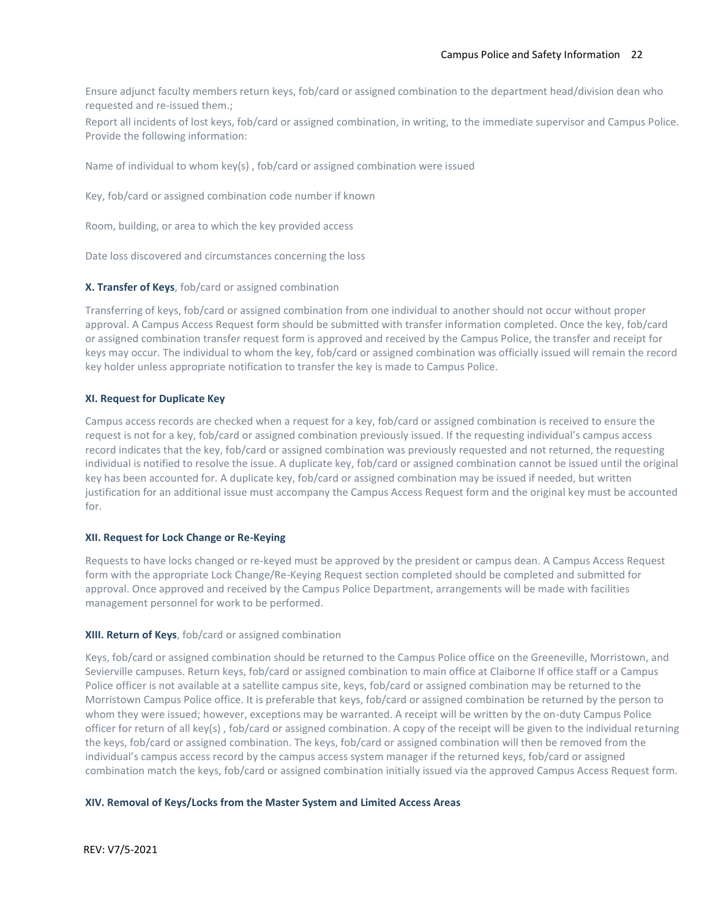Ensure adjunct faculty members return keys, fob/card or assigned combination to the department head/division dean who requested and re-issued them.;

Report all incidents of lost keys, fob/card or assigned combination, in writing, to the immediate supervisor and Campus Police. Provide the following information:

Name of individual to whom key(s), fob/card or assigned combination were issued

Key, fob/card or assigned combination code number if known

Room, building, or area to which the key provided access

Date loss discovered and circumstances concerning the loss

#### **X. Transfer of Keys**, fob/card or assigned combination

Transferring of keys, fob/card or assigned combination from one individual to another should not occur without proper approval. A Campus Access Request form should be submitted with transfer information completed. Once the key, fob/card or assigned combination transfer request form is approved and received by the Campus Police, the transfer and receipt for keys may occur. The individual to whom the key, fob/card or assigned combination was officially issued will remain the record key holder unless appropriate notification to transfer the key is made to Campus Police.

#### **XI. Request for Duplicate Key**

Campus access records are checked when a request for a key, fob/card or assigned combination is received to ensure the request is not for a key, fob/card or assigned combination previously issued. If the requesting individual's campus access record indicates that the key, fob/card or assigned combination was previously requested and not returned, the requesting individual is notified to resolve the issue. A duplicate key, fob/card or assigned combination cannot be issued until the original key has been accounted for. A duplicate key, fob/card or assigned combination may be issued if needed, but written justification for an additional issue must accompany the Campus Access Request form and the original key must be accounted for.

#### **XII. Request for Lock Change or Re-Keying**

Requests to have locks changed or re-keyed must be approved by the president or campus dean. A Campus Access Request form with the appropriate Lock Change/Re-Keying Request section completed should be completed and submitted for approval. Once approved and received by the Campus Police Department, arrangements will be made with facilities management personnel for work to be performed.

#### **XIII. Return of Keys**, fob/card or assigned combination

Keys, fob/card or assigned combination should be returned to the Campus Police office on the Greeneville, Morristown, and Sevierville campuses. Return keys, fob/card or assigned combination to main office at Claiborne If office staff or a Campus Police officer is not available at a satellite campus site, keys, fob/card or assigned combination may be returned to the Morristown Campus Police office. It is preferable that keys, fob/card or assigned combination be returned by the person to whom they were issued; however, exceptions may be warranted. A receipt will be written by the on-duty Campus Police officer for return of all key(s) , fob/card or assigned combination. A copy of the receipt will be given to the individual returning the keys, fob/card or assigned combination. The keys, fob/card or assigned combination will then be removed from the individual's campus access record by the campus access system manager if the returned keys, fob/card or assigned combination match the keys, fob/card or assigned combination initially issued via the approved Campus Access Request form.

#### **XIV. Removal of Keys/Locks from the Master System and Limited Access Areas**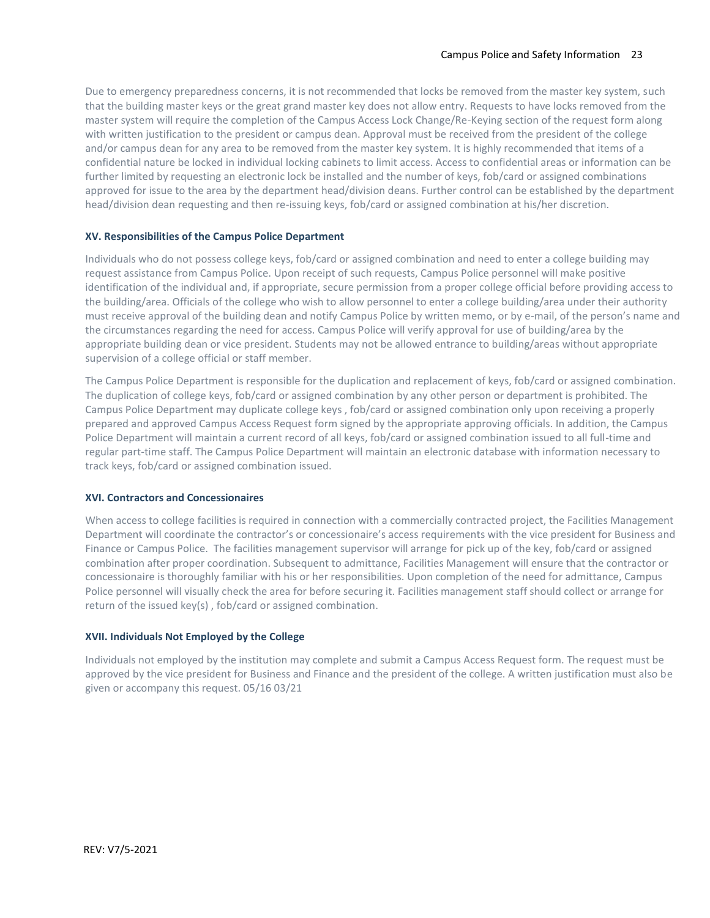Due to emergency preparedness concerns, it is not recommended that locks be removed from the master key system, such that the building master keys or the great grand master key does not allow entry. Requests to have locks removed from the master system will require the completion of the Campus Access Lock Change/Re-Keying section of the request form along with written justification to the president or campus dean. Approval must be received from the president of the college and/or campus dean for any area to be removed from the master key system. It is highly recommended that items of a confidential nature be locked in individual locking cabinets to limit access. Access to confidential areas or information can be further limited by requesting an electronic lock be installed and the number of keys, fob/card or assigned combinations approved for issue to the area by the department head/division deans. Further control can be established by the department head/division dean requesting and then re-issuing keys, fob/card or assigned combination at his/her discretion.

## **XV. Responsibilities of the Campus Police Department**

Individuals who do not possess college keys, fob/card or assigned combination and need to enter a college building may request assistance from Campus Police. Upon receipt of such requests, Campus Police personnel will make positive identification of the individual and, if appropriate, secure permission from a proper college official before providing access to the building/area. Officials of the college who wish to allow personnel to enter a college building/area under their authority must receive approval of the building dean and notify Campus Police by written memo, or by e-mail, of the person's name and the circumstances regarding the need for access. Campus Police will verify approval for use of building/area by the appropriate building dean or vice president. Students may not be allowed entrance to building/areas without appropriate supervision of a college official or staff member.

The Campus Police Department is responsible for the duplication and replacement of keys, fob/card or assigned combination. The duplication of college keys, fob/card or assigned combination by any other person or department is prohibited. The Campus Police Department may duplicate college keys , fob/card or assigned combination only upon receiving a properly prepared and approved Campus Access Request form signed by the appropriate approving officials. In addition, the Campus Police Department will maintain a current record of all keys, fob/card or assigned combination issued to all full-time and regular part-time staff. The Campus Police Department will maintain an electronic database with information necessary to track keys, fob/card or assigned combination issued.

#### **XVI. Contractors and Concessionaires**

When access to college facilities is required in connection with a commercially contracted project, the Facilities Management Department will coordinate the contractor's or concessionaire's access requirements with the vice president for Business and Finance or Campus Police. The facilities management supervisor will arrange for pick up of the key, fob/card or assigned combination after proper coordination. Subsequent to admittance, Facilities Management will ensure that the contractor or concessionaire is thoroughly familiar with his or her responsibilities. Upon completion of the need for admittance, Campus Police personnel will visually check the area for before securing it. Facilities management staff should collect or arrange for return of the issued key(s) , fob/card or assigned combination.

#### **XVII. Individuals Not Employed by the College**

Individuals not employed by the institution may complete and submit a Campus Access Request form. The request must be approved by the vice president for Business and Finance and the president of the college. A written justification must also be given or accompany this request. 05/16 03/21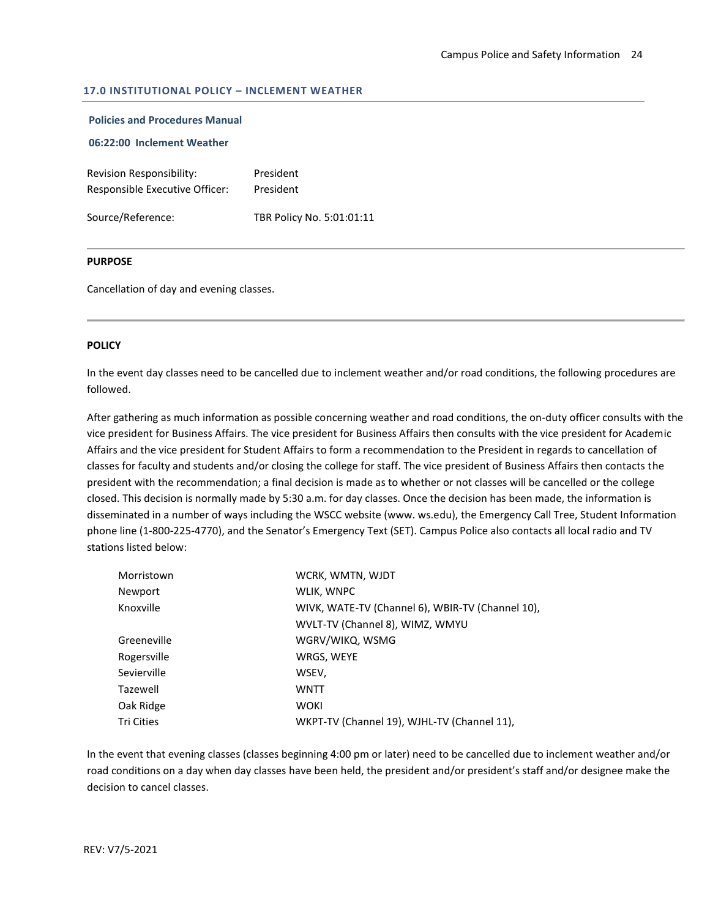## **17.0 INSTITUTIONAL POLICY – INCLEMENT WEATHER**

## **Policies and Procedures Manual**

## **06:22:00 Inclement Weather**

| Revision Responsibility:       | President |
|--------------------------------|-----------|
| Responsible Executive Officer: | President |
|                                |           |

Source/Reference: TBR Policy No. 5:01:01:11

#### **PURPOSE**

Cancellation of day and evening classes.

#### **POLICY**

In the event day classes need to be cancelled due to inclement weather and/or road conditions, the following procedures are followed.

After gathering as much information as possible concerning weather and road conditions, the on-duty officer consults with the vice president for Business Affairs. The vice president for Business Affairs then consults with the vice president for Academic Affairs and the vice president for Student Affairs to form a recommendation to the President in regards to cancellation of classes for faculty and students and/or closing the college for staff. The vice president of Business Affairs then contacts the president with the recommendation; a final decision is made as to whether or not classes will be cancelled or the college closed. This decision is normally made by 5:30 a.m. for day classes. Once the decision has been made, the information is disseminated in a number of ways including the WSCC website (www. ws.edu), the Emergency Call Tree, Student Information phone line (1-800-225-4770), and the Senator's Emergency Text (SET). Campus Police also contacts all local radio and TV stations listed below:

| Morristown  | WCRK, WMTN, WJDT                                 |  |  |
|-------------|--------------------------------------------------|--|--|
| Newport     | WLIK, WNPC                                       |  |  |
| Knoxville   | WIVK, WATE-TV (Channel 6), WBIR-TV (Channel 10), |  |  |
|             | WVLT-TV (Channel 8), WIMZ, WMYU                  |  |  |
| Greeneville | WGRV/WIKQ, WSMG                                  |  |  |
| Rogersville | WRGS, WEYE                                       |  |  |
| Sevierville | WSEV,                                            |  |  |
| Tazewell    | WNTT                                             |  |  |
| Oak Ridge   | <b>WOKI</b>                                      |  |  |
| Tri Cities  | WKPT-TV (Channel 19), WJHL-TV (Channel 11),      |  |  |

In the event that evening classes (classes beginning 4:00 pm or later) need to be cancelled due to inclement weather and/or road conditions on a day when day classes have been held, the president and/or president's staff and/or designee make the decision to cancel classes.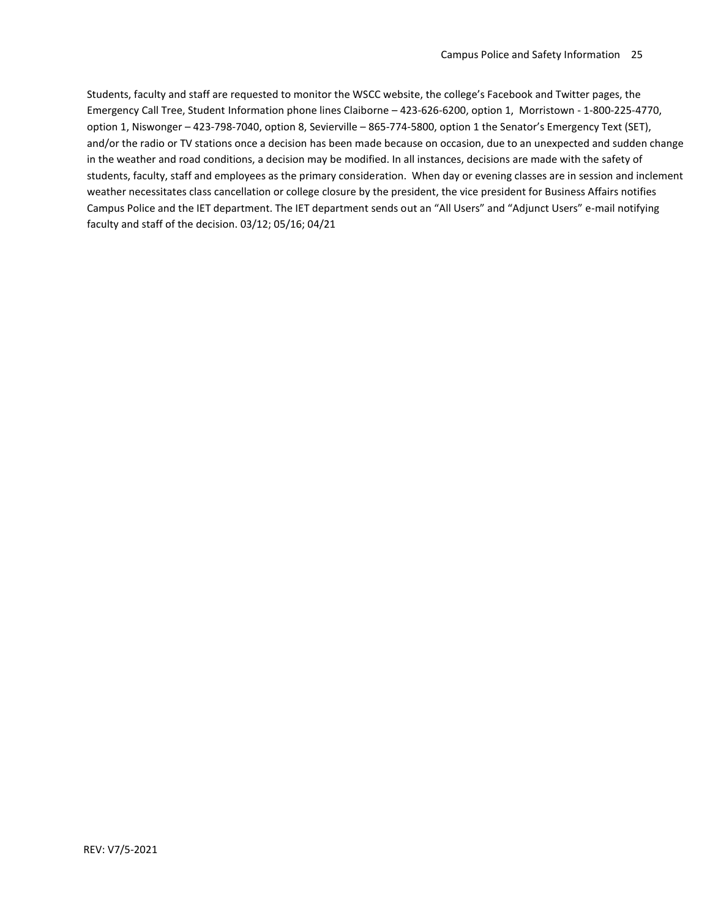Students, faculty and staff are requested to monitor the WSCC website, the college's Facebook and Twitter pages, the Emergency Call Tree, Student Information phone lines Claiborne – 423-626-6200, option 1, Morristown - 1-800-225-4770, option 1, Niswonger – 423-798-7040, option 8, Sevierville – 865-774-5800, option 1 the Senator's Emergency Text (SET), and/or the radio or TV stations once a decision has been made because on occasion, due to an unexpected and sudden change in the weather and road conditions, a decision may be modified. In all instances, decisions are made with the safety of students, faculty, staff and employees as the primary consideration. When day or evening classes are in session and inclement weather necessitates class cancellation or college closure by the president, the vice president for Business Affairs notifies Campus Police and the IET department. The IET department sends out an "All Users" and "Adjunct Users" e-mail notifying faculty and staff of the decision. 03/12; 05/16; 04/21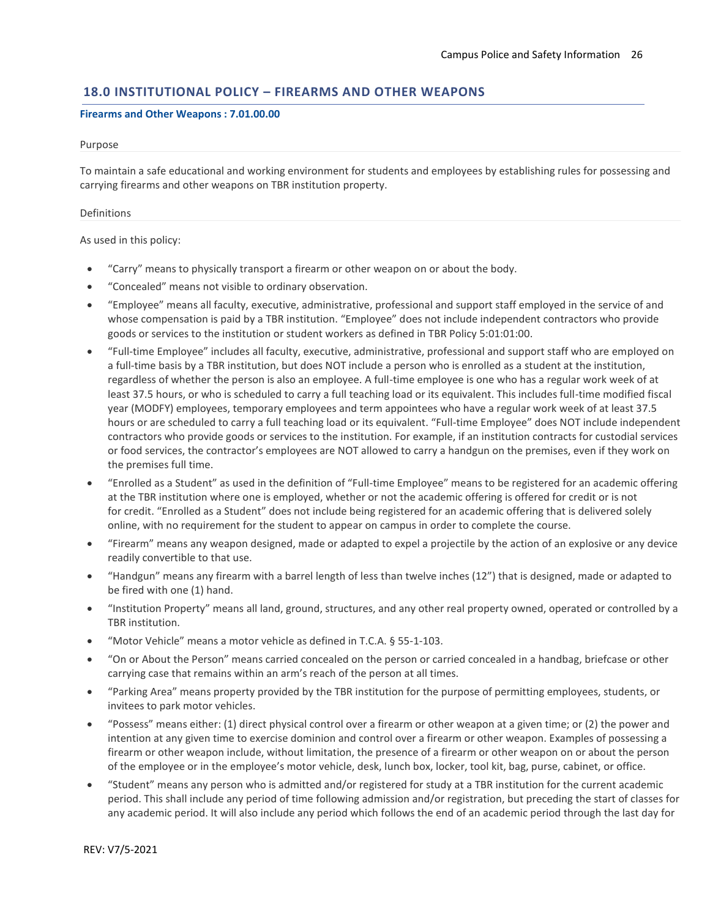## **18.0 INSTITUTIONAL POLICY – FIREARMS AND OTHER WEAPONS**

#### **Firearms and Other Weapons : 7.01.00.00**

#### Purpose

To maintain a safe educational and working environment for students and employees by establishing rules for possessing and carrying firearms and other weapons on TBR institution property.

#### Definitions

As used in this policy:

- "Carry" means to physically transport a firearm or other weapon on or about the body.
- "Concealed" means not visible to ordinary observation.
- "Employee" means all faculty, executive, administrative, professional and support staff employed in the service of and whose compensation is paid by a TBR institution. "Employee" does not include independent contractors who provide goods or services to the institution or student workers as defined in TBR Policy 5:01:01:00.
- "Full-time Employee" includes all faculty, executive, administrative, professional and support staff who are employed on a full-time basis by a TBR institution, but does NOT include a person who is enrolled as a student at the institution, regardless of whether the person is also an employee. A full-time employee is one who has a regular work week of at least 37.5 hours, or who is scheduled to carry a full teaching load or its equivalent. This includes full-time modified fiscal year (MODFY) employees, temporary employees and term appointees who have a regular work week of at least 37.5 hours or are scheduled to carry a full teaching load or its equivalent. "Full-time Employee" does NOT include independent contractors who provide goods or services to the institution. For example, if an institution contracts for custodial services or food services, the contractor's employees are NOT allowed to carry a handgun on the premises, even if they work on the premises full time.
- "Enrolled as a Student" as used in the definition of "Full-time Employee" means to be registered for an academic offering at the TBR institution where one is employed, whether or not the academic offering is offered for credit or is not for credit. "Enrolled as a Student" does not include being registered for an academic offering that is delivered solely online, with no requirement for the student to appear on campus in order to complete the course.
- "Firearm" means any weapon designed, made or adapted to expel a projectile by the action of an explosive or any device readily convertible to that use.
- "Handgun" means any firearm with a barrel length of less than twelve inches (12") that is designed, made or adapted to be fired with one (1) hand.
- "Institution Property" means all land, ground, structures, and any other real property owned, operated or controlled by a TBR institution.
- "Motor Vehicle" means a motor vehicle as defined in T.C.A. § 55-1-103.
- "On or About the Person" means carried concealed on the person or carried concealed in a handbag, briefcase or other carrying case that remains within an arm's reach of the person at all times.
- "Parking Area" means property provided by the TBR institution for the purpose of permitting employees, students, or invitees to park motor vehicles.
- "Possess" means either: (1) direct physical control over a firearm or other weapon at a given time; or (2) the power and intention at any given time to exercise dominion and control over a firearm or other weapon. Examples of possessing a firearm or other weapon include, without limitation, the presence of a firearm or other weapon on or about the person of the employee or in the employee's motor vehicle, desk, lunch box, locker, tool kit, bag, purse, cabinet, or office.
- "Student" means any person who is admitted and/or registered for study at a TBR institution for the current academic period. This shall include any period of time following admission and/or registration, but preceding the start of classes for any academic period. It will also include any period which follows the end of an academic period through the last day for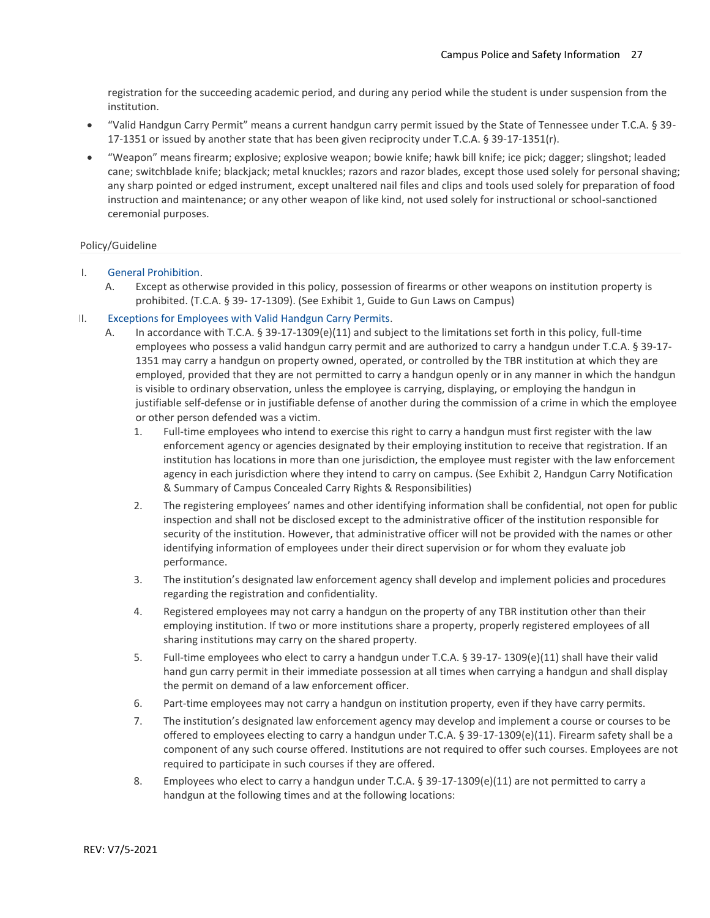registration for the succeeding academic period, and during any period while the student is under suspension from the institution.

- "Valid Handgun Carry Permit" means a current handgun carry permit issued by the State of Tennessee under T.C.A. § 39- 17-1351 or issued by another state that has been given reciprocity under T.C.A. § 39-17-1351(r).
- "Weapon" means firearm; explosive; explosive weapon; bowie knife; hawk bill knife; ice pick; dagger; slingshot; leaded cane; switchblade knife; blackjack; metal knuckles; razors and razor blades, except those used solely for personal shaving; any sharp pointed or edged instrument, except unaltered nail files and clips and tools used solely for preparation of food instruction and maintenance; or any other weapon of like kind, not used solely for instructional or school-sanctioned ceremonial purposes.

#### Policy/Guideline

- I. General Prohibition.
	- A. Except as otherwise provided in this policy, possession of firearms or other weapons on institution property is prohibited. (T.C.A. § 39- 17-1309). (See Exhibit 1, Guide to Gun Laws on Campus)

## II. Exceptions for Employees with Valid Handgun Carry Permits.

- A. In accordance with T.C.A. § 39-17-1309(e)(11) and subject to the limitations set forth in this policy, full-time employees who possess a valid handgun carry permit and are authorized to carry a handgun under T.C.A. § 39-17- 1351 may carry a handgun on property owned, operated, or controlled by the TBR institution at which they are employed, provided that they are not permitted to carry a handgun openly or in any manner in which the handgun is visible to ordinary observation, unless the employee is carrying, displaying, or employing the handgun in justifiable self-defense or in justifiable defense of another during the commission of a crime in which the employee or other person defended was a victim.
	- 1. Full-time employees who intend to exercise this right to carry a handgun must first register with the law enforcement agency or agencies designated by their employing institution to receive that registration. If an institution has locations in more than one jurisdiction, the employee must register with the law enforcement agency in each jurisdiction where they intend to carry on campus. (See Exhibit 2, Handgun Carry Notification & Summary of Campus Concealed Carry Rights & Responsibilities)
	- 2. The registering employees' names and other identifying information shall be confidential, not open for public inspection and shall not be disclosed except to the administrative officer of the institution responsible for security of the institution. However, that administrative officer will not be provided with the names or other identifying information of employees under their direct supervision or for whom they evaluate job performance.
	- 3. The institution's designated law enforcement agency shall develop and implement policies and procedures regarding the registration and confidentiality.
	- 4. Registered employees may not carry a handgun on the property of any TBR institution other than their employing institution. If two or more institutions share a property, properly registered employees of all sharing institutions may carry on the shared property.
	- 5. Full-time employees who elect to carry a handgun under T.C.A. § 39-17- 1309(e)(11) shall have their valid hand gun carry permit in their immediate possession at all times when carrying a handgun and shall display the permit on demand of a law enforcement officer.
	- 6. Part-time employees may not carry a handgun on institution property, even if they have carry permits.
	- 7. The institution's designated law enforcement agency may develop and implement a course or courses to be offered to employees electing to carry a handgun under T.C.A. § 39-17-1309(e)(11). Firearm safety shall be a component of any such course offered. Institutions are not required to offer such courses. Employees are not required to participate in such courses if they are offered.
	- 8. Employees who elect to carry a handgun under T.C.A. § 39-17-1309(e)(11) are not permitted to carry a handgun at the following times and at the following locations: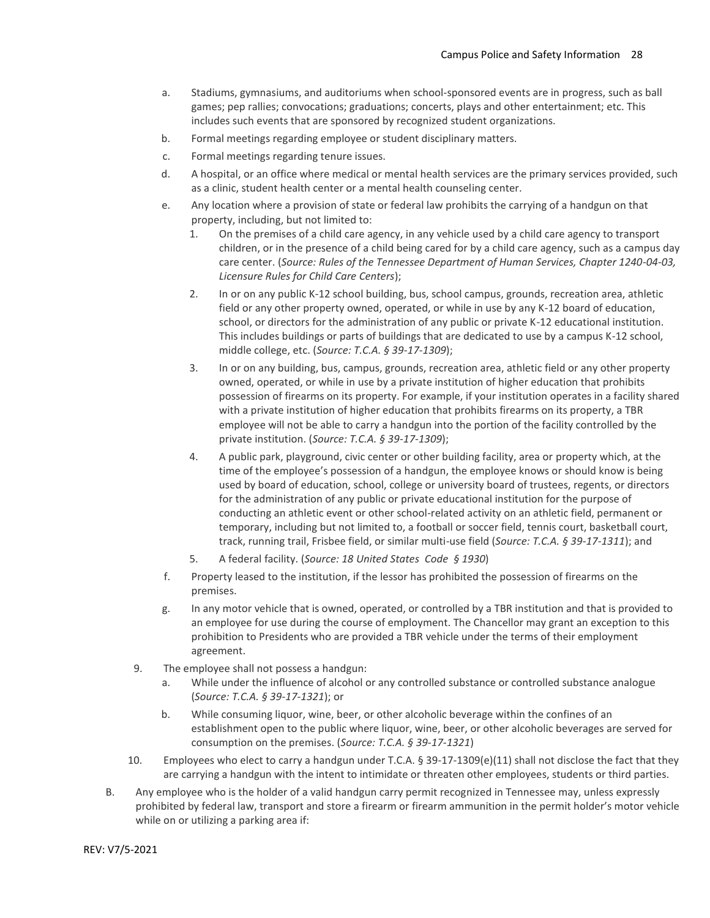- a. Stadiums, gymnasiums, and auditoriums when school-sponsored events are in progress, such as ball games; pep rallies; convocations; graduations; concerts, plays and other entertainment; etc. This includes such events that are sponsored by recognized student organizations.
- b. Formal meetings regarding employee or student disciplinary matters.
- c. Formal meetings regarding tenure issues.
- d. A hospital, or an office where medical or mental health services are the primary services provided, such as a clinic, student health center or a mental health counseling center.
- e. Any location where a provision of state or federal law prohibits the carrying of a handgun on that property, including, but not limited to:
	- 1. On the premises of a child care agency, in any vehicle used by a child care agency to transport children, or in the presence of a child being cared for by a child care agency, such as a campus day care center. (*Source: Rules of the Tennessee Department of Human Services, Chapter 1240-04-03, Licensure Rules for Child Care Centers*);
	- 2. In or on any public K-12 school building, bus, school campus, grounds, recreation area, athletic field or any other property owned, operated, or while in use by any K-12 board of education, school, or directors for the administration of any public or private K-12 educational institution. This includes buildings or parts of buildings that are dedicated to use by a campus K-12 school, middle college, etc. (*Source: T.C.A. § 39-17-1309*);
	- 3. In or on any building, bus, campus, grounds, recreation area, athletic field or any other property owned, operated, or while in use by a private institution of higher education that prohibits possession of firearms on its property. For example, if your institution operates in a facility shared with a private institution of higher education that prohibits firearms on its property, a TBR employee will not be able to carry a handgun into the portion of the facility controlled by the private institution. (*Source: T.C.A. § 39-17-1309*);
	- 4. A public park, playground, civic center or other building facility, area or property which, at the time of the employee's possession of a handgun, the employee knows or should know is being used by board of education, school, college or university board of trustees, regents, or directors for the administration of any public or private educational institution for the purpose of conducting an athletic event or other school-related activity on an athletic field, permanent or temporary, including but not limited to, a football or soccer field, tennis court, basketball court, track, running trail, Frisbee field, or similar multi-use field (*Source: T.C.A. § 39-17-1311*); and
	- 5. A federal facility. (*Source: 18 United States Code § 1930*)
- f. Property leased to the institution, if the lessor has prohibited the possession of firearms on the premises.
- g. In any motor vehicle that is owned, operated, or controlled by a TBR institution and that is provided to an employee for use during the course of employment. The Chancellor may grant an exception to this prohibition to Presidents who are provided a TBR vehicle under the terms of their employment agreement.
- 9. The employee shall not possess a handgun:
	- a. While under the influence of alcohol or any controlled substance or controlled substance analogue (*Source: T.C.A. § 39-17-1321*); or
	- b. While consuming liquor, wine, beer, or other alcoholic beverage within the confines of an establishment open to the public where liquor, wine, beer, or other alcoholic beverages are served for consumption on the premises. (*Source: T.C.A. § 39-17-1321*)
- 10. Employees who elect to carry a handgun under T.C.A. § 39-17-1309(e)(11) shall not disclose the fact that they are carrying a handgun with the intent to intimidate or threaten other employees, students or third parties.
- B. Any employee who is the holder of a valid handgun carry permit recognized in Tennessee may, unless expressly prohibited by federal law, transport and store a firearm or firearm ammunition in the permit holder's motor vehicle while on or utilizing a parking area if: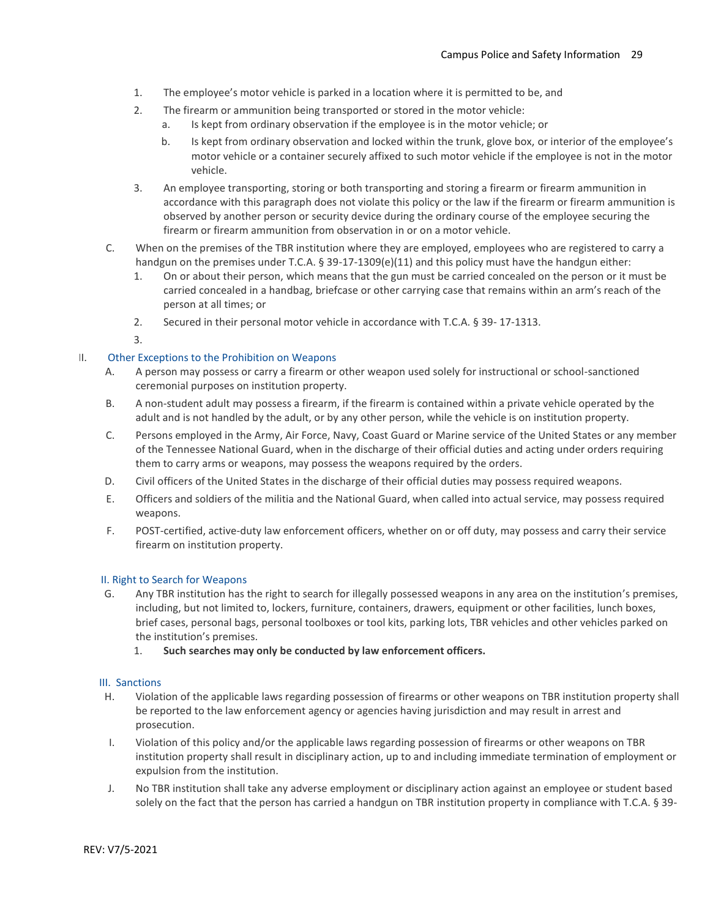- 1. The employee's motor vehicle is parked in a location where it is permitted to be, and
- 2. The firearm or ammunition being transported or stored in the motor vehicle:
	- a. Is kept from ordinary observation if the employee is in the motor vehicle; or
	- b. Is kept from ordinary observation and locked within the trunk, glove box, or interior of the employee's motor vehicle or a container securely affixed to such motor vehicle if the employee is not in the motor vehicle.
- 3. An employee transporting, storing or both transporting and storing a firearm or firearm ammunition in accordance with this paragraph does not violate this policy or the law if the firearm or firearm ammunition is observed by another person or security device during the ordinary course of the employee securing the firearm or firearm ammunition from observation in or on a motor vehicle.
- C. When on the premises of the TBR institution where they are employed, employees who are registered to carry a handgun on the premises under T.C.A. § 39-17-1309(e)(11) and this policy must have the handgun either:
	- 1. On or about their person, which means that the gun must be carried concealed on the person or it must be carried concealed in a handbag, briefcase or other carrying case that remains within an arm's reach of the person at all times; or
	- 2. Secured in their personal motor vehicle in accordance with T.C.A. § 39- 17-1313.
	- 3.

## I. Other Exceptions to the Prohibition on Weapons

- A. A person may possess or carry a firearm or other weapon used solely for instructional or school-sanctioned ceremonial purposes on institution property.
- B. A non-student adult may possess a firearm, if the firearm is contained within a private vehicle operated by the adult and is not handled by the adult, or by any other person, while the vehicle is on institution property.
- C. Persons employed in the Army, Air Force, Navy, Coast Guard or Marine service of the United States or any member of the Tennessee National Guard, when in the discharge of their official duties and acting under orders requiring them to carry arms or weapons, may possess the weapons required by the orders.
- D. Civil officers of the United States in the discharge of their official duties may possess required weapons.
- E. Officers and soldiers of the militia and the National Guard, when called into actual service, may possess required weapons.
- F. POST-certified, active-duty law enforcement officers, whether on or off duty, may possess and carry their service firearm on institution property.

## II. Right to Search for Weapons

- G. Any TBR institution has the right to search for illegally possessed weapons in any area on the institution's premises, including, but not limited to, lockers, furniture, containers, drawers, equipment or other facilities, lunch boxes, brief cases, personal bags, personal toolboxes or tool kits, parking lots, TBR vehicles and other vehicles parked on the institution's premises.
	- 1. **Such searches may only be conducted by law enforcement officers.**

#### III. Sanctions

- H. Violation of the applicable laws regarding possession of firearms or other weapons on TBR institution property shall be reported to the law enforcement agency or agencies having jurisdiction and may result in arrest and prosecution.
- I. Violation of this policy and/or the applicable laws regarding possession of firearms or other weapons on TBR institution property shall result in disciplinary action, up to and including immediate termination of employment or expulsion from the institution.
- J. No TBR institution shall take any adverse employment or disciplinary action against an employee or student based solely on the fact that the person has carried a handgun on TBR institution property in compliance with T.C.A. § 39-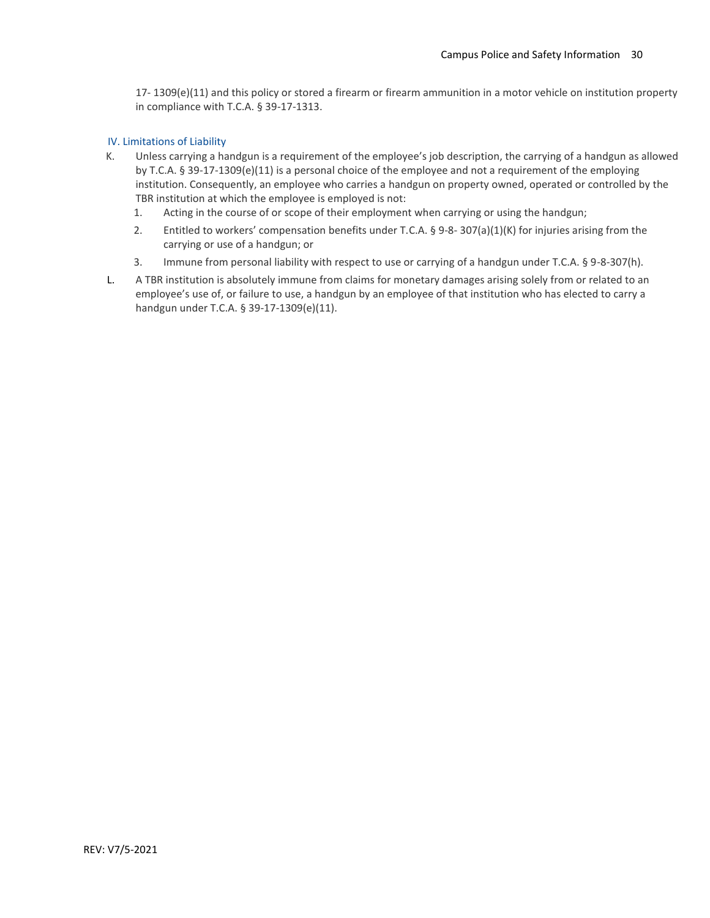17- 1309(e)(11) and this policy or stored a firearm or firearm ammunition in a motor vehicle on institution property in compliance with T.C.A. § 39-17-1313.

## IV. Limitations of Liability

- K. Unless carrying a handgun is a requirement of the employee's job description, the carrying of a handgun as allowed by T.C.A. § 39-17-1309(e)(11) is a personal choice of the employee and not a requirement of the employing institution. Consequently, an employee who carries a handgun on property owned, operated or controlled by the TBR institution at which the employee is employed is not:
	- 1. Acting in the course of or scope of their employment when carrying or using the handgun;
	- 2. Entitled to workers' compensation benefits under T.C.A. § 9-8- 307(a)(1)(K) for injuries arising from the carrying or use of a handgun; or
	- 3. Immune from personal liability with respect to use or carrying of a handgun under T.C.A. § 9-8-307(h).
- L. A TBR institution is absolutely immune from claims for monetary damages arising solely from or related to an employee's use of, or failure to use, a handgun by an employee of that institution who has elected to carry a handgun under T.C.A. § 39-17-1309(e)(11).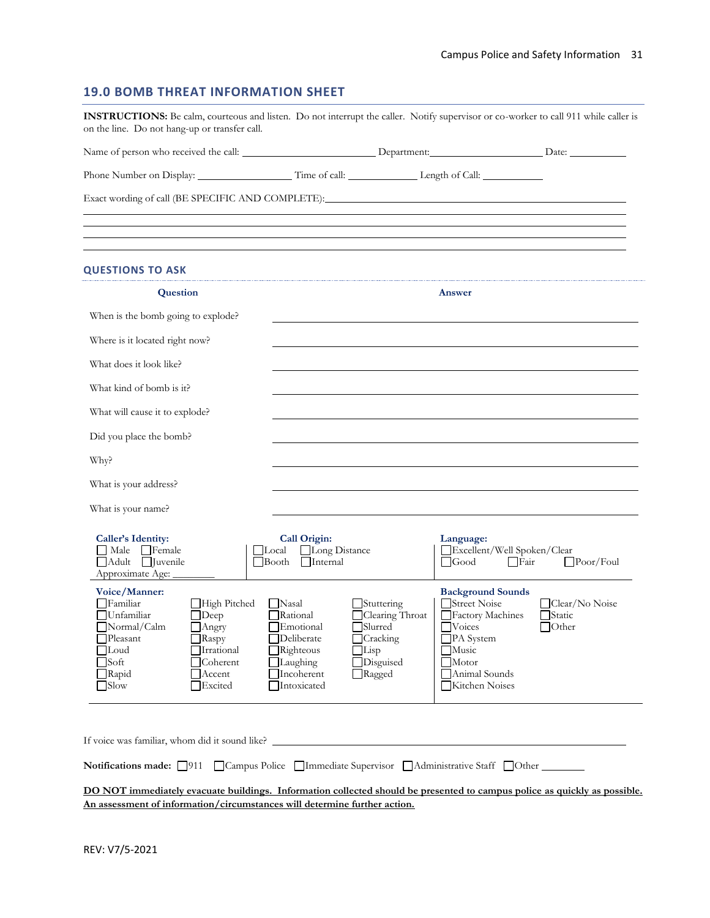## **19.0 BOMB THREAT INFORMATION SHEET**

|                                                                                                                                          |                                                                                                                        |                                                                                                           | Phone Number on Display: Time of call: Length of Call:                                      |                                                                                                                                                                  |                                           |  |
|------------------------------------------------------------------------------------------------------------------------------------------|------------------------------------------------------------------------------------------------------------------------|-----------------------------------------------------------------------------------------------------------|---------------------------------------------------------------------------------------------|------------------------------------------------------------------------------------------------------------------------------------------------------------------|-------------------------------------------|--|
|                                                                                                                                          |                                                                                                                        |                                                                                                           |                                                                                             | Exact wording of call (BE SPECIFIC AND COMPLETE): The contract of the state of call (BE SPECIFIC AND COMPLETE):                                                  |                                           |  |
| <b>QUESTIONS TO ASK</b>                                                                                                                  |                                                                                                                        |                                                                                                           |                                                                                             |                                                                                                                                                                  |                                           |  |
| Question                                                                                                                                 |                                                                                                                        |                                                                                                           | Answer                                                                                      |                                                                                                                                                                  |                                           |  |
| When is the bomb going to explode?                                                                                                       |                                                                                                                        |                                                                                                           |                                                                                             |                                                                                                                                                                  |                                           |  |
| Where is it located right now?                                                                                                           |                                                                                                                        |                                                                                                           |                                                                                             |                                                                                                                                                                  |                                           |  |
| What does it look like?                                                                                                                  |                                                                                                                        |                                                                                                           |                                                                                             |                                                                                                                                                                  |                                           |  |
| What kind of bomb is it?                                                                                                                 |                                                                                                                        |                                                                                                           |                                                                                             |                                                                                                                                                                  |                                           |  |
| What will cause it to explode?                                                                                                           |                                                                                                                        |                                                                                                           |                                                                                             |                                                                                                                                                                  |                                           |  |
| Did you place the bomb?                                                                                                                  |                                                                                                                        |                                                                                                           |                                                                                             |                                                                                                                                                                  |                                           |  |
| Why?                                                                                                                                     |                                                                                                                        |                                                                                                           |                                                                                             |                                                                                                                                                                  |                                           |  |
| What is your address?                                                                                                                    |                                                                                                                        |                                                                                                           |                                                                                             |                                                                                                                                                                  |                                           |  |
| What is your name?                                                                                                                       |                                                                                                                        |                                                                                                           |                                                                                             |                                                                                                                                                                  |                                           |  |
| <b>Caller's Identity:</b><br>$\Box$ Male $\Box$ Female<br>Adult <i>Juvenile</i><br>Approximate Age:                                      |                                                                                                                        | Call Origin:<br>TLocal<br>Long Distance<br>$\Box$ Booth $\Box$ Internal                                   |                                                                                             | Language:<br>Excellent/Well Spoken/Clear<br>□Good<br>□ Fair                                                                                                      | $\Box$ Poor/Foul                          |  |
| Voice/Manner:<br><b>T</b> Familiar<br>  Unfamiliar<br>Normal/Calm<br>Pleasant<br>Loud<br>$\sqrt{\text{Soft}}$<br>Rapid<br>$\exists$ Slow | High Pitched<br>$\Box$ Deep<br>$\Box$ Angry<br>$\exists$ Raspy<br>Irrational<br>Coherent<br>$\sqcap$ Accent<br>Excited | Nasal<br>Rational<br>Emotional<br>Deliberate<br>$\Box$ Righteous<br>Laughing<br>Incoherent<br>Intoxicated | Stuttering<br>Clearing Throat<br>Slurred<br>Cracking<br>$\Box$ Lisp<br>Disguised<br>□Ragged | <b>Background Sounds</b><br>Street Noise<br>Factory Machines<br>$\Box$ Voices<br>PA System<br>Music<br>$\sqrt{\frac{1}{100}}$<br>Animal Sounds<br>Kitchen Noises | Clear/No Noise<br>□Static<br>$\Box$ Other |  |

**An assessment of information/circumstances will determine further action.**